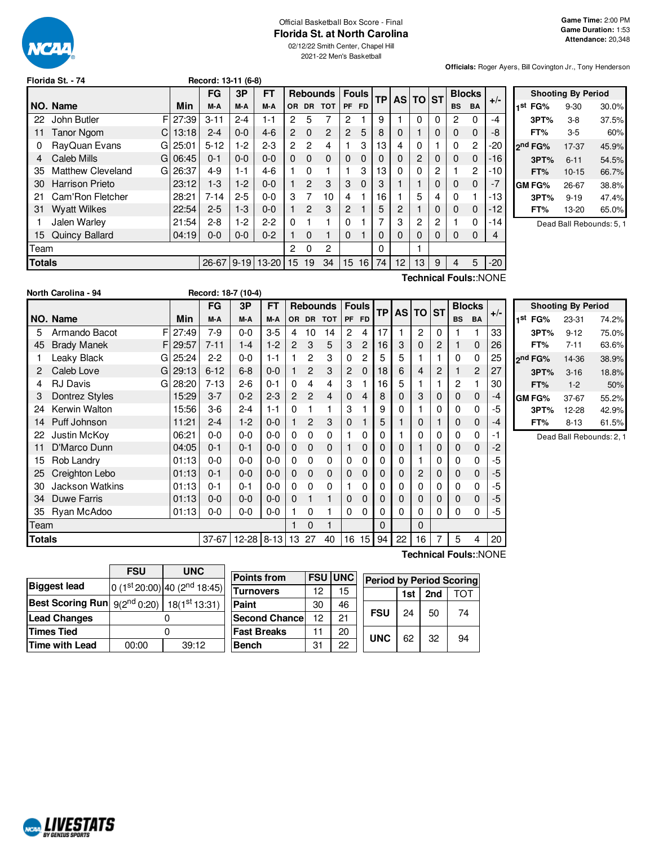

#### Official Basketball Box Score - Final **Florida St. at North Carolina**

02/12/22 Smith Center, Chapel Hill 2021-22 Men's Basketball

**Game Time:** 2:00 PM **Game Duration:** 1:53 **Attendance:** 20,348

**Officials:** Roger Ayers, Bill Covington Jr., Tony Henderson

|               | Florida St. - 74               |       | Record: 13-11 (6-8) |          |           |                |               |                 |                  |              |     |          |                |   |              |               |       |
|---------------|--------------------------------|-------|---------------------|----------|-----------|----------------|---------------|-----------------|------------------|--------------|-----|----------|----------------|---|--------------|---------------|-------|
|               |                                |       | <b>FG</b>           | 3P       | <b>FT</b> |                |               | <b>Rebounds</b> |                  | <b>Fouls</b> | TPI |          | AS TO ST       |   |              | <b>Blocks</b> | $+/-$ |
|               | NO. Name                       | Min   | M-A                 | M-A      | M-A       | <b>OR</b>      | <b>DR</b>     | <b>TOT</b>      | <b>PF</b>        | <b>FD</b>    |     |          |                |   | <b>BS</b>    | <b>BA</b>     |       |
| 22            | F<br>John Butler               | 27:39 | $3 - 11$            | $2 - 4$  | 1-1       | $\mathbf{2}$   | 5             | 7               | 2                |              | 9   |          | $\Omega$       | 0 | $\mathbf{2}$ | 0             | $-4$  |
| 11            | <b>Tanor Ngom</b><br>C.        | 13:18 | $2 - 4$             | $0 - 0$  | $4-6$     | $\overline{2}$ | $\Omega$      | $\overline{2}$  | $\overline{2}$   | 5            | 8   | $\Omega$ |                | 0 | $\Omega$     | $\Omega$      | -8    |
| 0             | RayQuan Evans<br>GI            | 25:01 | $5 - 12$            | $1-2$    | $2-3$     | 2              | 2             | 4               |                  | 3            | 13  | 4        | $\Omega$       |   | 0            | $\mathbf{2}$  | $-20$ |
| 4             | Caleb Mills<br>GI              | 06:45 | $0 - 1$             | $0 - 0$  | $0 - 0$   | 0              | $\Omega$      | $\mathbf 0$     | $\mathbf 0$      | $\Omega$     | 0   | $\Omega$ | $\overline{2}$ | 0 | $\mathbf 0$  | $\Omega$      | $-16$ |
| 35            | <b>Matthew Cleveland</b><br>GI | 26:37 | $4-9$               | $1 - 1$  | 4-6       |                | 0             |                 |                  | 3            | 13  | $\Omega$ | $\Omega$       | 2 |              | 2             | -10   |
| 30            | <b>Harrison Prieto</b>         | 23:12 | $1-3$               | $1-2$    | $0 - 0$   |                | $\mathcal{P}$ | 3               | 3                | $\Omega$     | 3   |          |                | 0 | $\mathbf 0$  | $\Omega$      | $-7$  |
| 21            | Cam'Ron Fletcher               | 28:21 | $7 - 14$            | $2 - 5$  | $0 - 0$   | 3              | 7             | 10              | 4                |              | 16  |          | 5              | 4 | 0            |               | -13   |
| 31            | <b>Wyatt Wilkes</b>            | 22:54 | $2 - 5$             | $1-3$    | $0 - 0$   |                | $\mathcal{P}$ | 3               | $\overline{c}$   |              | 5   | 2        |                | 0 | $\mathbf{0}$ | $\Omega$      | $-12$ |
|               | Jalen Warley                   | 21:54 | $2 - 8$             | $1-2$    | $2 - 2$   | 0              |               |                 | $\Omega$         |              | 7   | 3        | $\overline{2}$ | 2 |              | $\Omega$      | $-14$ |
| 15            | Quincy Ballard                 | 04:19 | $0 - 0$             | $0 - 0$  | $0 - 2$   |                | 0             |                 | $\Omega$         |              | 0   | $\Omega$ | $\Omega$       | 0 | $\Omega$     | 0             | 4     |
| <b>Team</b>   |                                |       |                     |          |           | $\overline{2}$ | $\Omega$      | 2               |                  |              | 0   |          |                |   |              |               |       |
| <b>Totals</b> |                                |       | 26-67               | $9 - 19$ | 13-20     | 15             | 19            | 34              | 15 <sup>15</sup> | 16           | 74  | 12       | 13             | 9 | 4            | 5             | $-20$ |

|     | <b>Shooting By Period</b> |           |       |  |  |  |  |  |  |  |
|-----|---------------------------|-----------|-------|--|--|--|--|--|--|--|
| 1st | FG%                       | $9 - 30$  | 30.0% |  |  |  |  |  |  |  |
|     | 3PT%                      | $3-8$     | 37.5% |  |  |  |  |  |  |  |
|     | FT%                       | 3-5       | 60%   |  |  |  |  |  |  |  |
|     | 2 <sup>nd</sup> FG%       | 17-37     | 45.9% |  |  |  |  |  |  |  |
|     | 3PT%                      | $6 - 11$  | 54.5% |  |  |  |  |  |  |  |
|     | FT%                       | $10 - 15$ | 66.7% |  |  |  |  |  |  |  |
|     | GM FG%                    | 26-67     | 38.8% |  |  |  |  |  |  |  |
|     | 3PT%                      | $9 - 19$  | 47.4% |  |  |  |  |  |  |  |
|     | FT%                       | 13-20     | 65.0% |  |  |  |  |  |  |  |

Dead Ball Rebounds: 5, 1

| North Carolina - 94 | Record: 18-7 (10-4) |
|---------------------|---------------------|
|                     |                     |

**Technical Fouls:**:NONE

**Technical Fouls:**:NONE

|               |                          |       | <b>FG</b> | 3P               | <b>FT</b> |          |                | <b>Rebounds</b> |                | <b>Fouls</b>   | <b>TP</b>   |    | <b>AS TO</b>   | <b>ST</b> |              | <b>Blocks</b>  | $+/-$ |                     | <b>Shooting By Period</b> |       |
|---------------|--------------------------|-------|-----------|------------------|-----------|----------|----------------|-----------------|----------------|----------------|-------------|----|----------------|-----------|--------------|----------------|-------|---------------------|---------------------------|-------|
|               | NO. Name                 | Min   | M-A       | M-A              | M-A       |          |                | OR DR TOT       |                | PF FD          |             |    |                |           | <b>BS</b>    | BA             |       | 1st FG%             | 23-31                     | 74.2% |
| 5.            | F<br>Armando Bacot       | 27:49 | $7-9$     | $0-0$            | $3-5$     | 4        | 10             | 14              | 2              | 4              | 17          |    | 2              | $\Omega$  |              |                | 33    | 3PT%                | $9 - 12$                  | 75.0% |
| 45            | <b>Brady Manek</b><br>F. | 29:57 | $7 - 11$  | $1 - 4$          | $1 - 2$   | 2        | 3              | 5               | 3              | $\overline{2}$ | 16          | 3  | 0              | 2         |              | 0              | 26    | FT%                 | $7 - 11$                  | 63.6% |
|               | Leaky Black<br>GI        | 25:24 | $2 - 2$   | $0-0$            | $1 - 1$   |          | 2              | 3               | 0              | 2              | 5           | 5  |                |           | 0            | 0              | 25    | 2 <sup>nd</sup> FG% | 14-36                     | 38.9% |
| 2             | Caleb Love<br>GI         | 29:13 | $6 - 12$  | $6 - 8$          | $0-0$     |          | $\overline{2}$ | 3               | $\overline{2}$ | 0              | 18          | 6  | $\overline{4}$ | 2         |              | $\overline{c}$ | 27    | 3PT%                | $3 - 16$                  | 18.8% |
| 4             | <b>RJ Davis</b><br>Gl    | 28:20 | $7 - 13$  | $2 - 6$          | $0 - 1$   | 0        | 4              | 4               | 3              |                | 16          | 5  |                |           | 2            |                | 30    | FT%                 | $1 - 2$                   | 50%   |
|               | Dontrez Styles           | 15:29 | $3 - 7$   | $0 - 2$          | $2 - 3$   | 2        | $\overline{2}$ | 4               | $\mathbf{0}$   | $\overline{4}$ | 8           |    | 3              | 0         | 0            | 0              | $-4$  | <b>GM FG%</b>       | 37-67                     | 55.2% |
| 24            | Kerwin Walton            | 15:56 | $3-6$     | $2 - 4$          | $1 - 1$   | $\Omega$ |                |                 | 3              |                | 9           |    |                | $\Omega$  | 0            | 0              | -5    | 3PT%                | 12-28                     | 42.9% |
|               | 14 Puff Johnson          | 11:21 | $2 - 4$   | $1 - 2$          | $0-0$     |          | $\overline{2}$ | 3               | $\mathbf{0}$   |                | 5           |    | 0              |           | $\mathbf{0}$ | 0              | -4    | FT%                 | $8 - 13$                  | 61.5% |
| 22            | Justin McKoy             | 06:21 | $0 - 0$   | $0-0$            | $0 - 0$   | 0        | 0              | 0               |                | 0              | 0           |    | 0              | 0         | 0            | 0              | -1    |                     | Dead Ball Rebounds: 2, 1  |       |
|               | D'Marco Dunn             | 04:05 | $0 - 1$   | $0 - 1$          | $0-0$     | 0        | $\mathbf 0$    | 0               |                | $\mathbf 0$    | 0           | 0  |                | 0         | 0            | 0              | -2    |                     |                           |       |
| 15            | Rob Landry               | 01:13 | $0 - 0$   | $0-0$            | $0 - 0$   | 0        | 0              | 0               | 0              | $\Omega$       | 0           |    |                | 0         | 0            | 0              | -5    |                     |                           |       |
| 25            | Creighton Lebo           | 01:13 | $0 - 1$   | $0-0$            | $0 - 0$   | 0        | $\mathbf 0$    | 0               | $\mathbf{0}$   | $\mathbf 0$    | 0           | 0  | $\overline{c}$ | 0         | 0            | 0              | $-5$  |                     |                           |       |
| 30            | <b>Jackson Watkins</b>   | 01:13 | $0 - 1$   | $0 - 1$          | $0 - 0$   | 0        | 0              | 0               |                | $\Omega$       | $\Omega$    |    | 0              | 0         | 0            | 0              | -5    |                     |                           |       |
| 34            | Duwe Farris              | 01:13 | $0-0$     | $0 - 0$          | $0-0$     | 0        |                |                 | 0              | $\mathbf 0$    | 0           | 0  | 0              | 0         | 0            | 0              | -5    |                     |                           |       |
|               | 35 Ryan McAdoo           | 01:13 | $0-0$     | $0-0$            | $0 - 0$   |          | 0              |                 | 0              | 0              | 0           | 0  | 0              | 0         | 0            | 0              | -5    |                     |                           |       |
| Team          |                          |       |           |                  |           |          | $\mathbf 0$    |                 |                |                | $\mathbf 0$ |    | 0              |           |              |                |       |                     |                           |       |
| <b>Totals</b> |                          |       | 37-67     | 12-28 8-13 13 27 |           |          |                | 40              |                | 16 15          | 94          | 22 | 16             | 7         | 5            | 4              | 20    |                     |                           |       |

| 1st | FG%           | 23-31    | 74.2% |  |  |  |  |  |  |  |
|-----|---------------|----------|-------|--|--|--|--|--|--|--|
|     | 3PT%          | $9 - 12$ | 75.0% |  |  |  |  |  |  |  |
|     | FT%           | $7 - 11$ | 63.6% |  |  |  |  |  |  |  |
|     | 2nd FG%       | 14-36    | 38.9% |  |  |  |  |  |  |  |
|     | 3PT%          | $3 - 16$ | 18.8% |  |  |  |  |  |  |  |
|     | FT%           | $1 - 2$  | 50%   |  |  |  |  |  |  |  |
|     | <b>GM FG%</b> | 37-67    | 55.2% |  |  |  |  |  |  |  |
|     | 3PT%          | 12-28    | 42.9% |  |  |  |  |  |  |  |
|     | FT%           | $8 - 13$ | 61.5% |  |  |  |  |  |  |  |

|                                                      | <b>FSU</b> | <b>UNC</b>                   |  |  |  |  |
|------------------------------------------------------|------------|------------------------------|--|--|--|--|
| <b>Biggest lead</b>                                  |            | $ 0(1st20:00) 40(2nd18:45) $ |  |  |  |  |
| Best Scoring Run $ 9(2^{nd} 0:20)  18(1^{st} 13:31)$ |            |                              |  |  |  |  |
| <b>Lead Changes</b>                                  |            |                              |  |  |  |  |
| Times Tied                                           |            |                              |  |  |  |  |
| Time with Lead                                       | 00:00      | 39:12                        |  |  |  |  |
|                                                      |            |                              |  |  |  |  |

| <b>Points from</b>    |    | <b>FSU UNC</b> | <b>Period by Period Scoring</b> |     |     |     |  |  |
|-----------------------|----|----------------|---------------------------------|-----|-----|-----|--|--|
| <b>Turnovers</b>      | 12 | 15             |                                 | 1st | 2nd | ΤΩΤ |  |  |
| Paint                 | 30 | 46             |                                 | 24  | 50  |     |  |  |
| <b>Second Chancel</b> | 12 | 21             | <b>FSU</b>                      |     |     | 74  |  |  |
| <b>Fast Breaks</b>    | 11 | 20             | <b>UNC</b>                      |     |     |     |  |  |
| <b>Bench</b>          | 31 | 22             |                                 | 62  | 32  | 94  |  |  |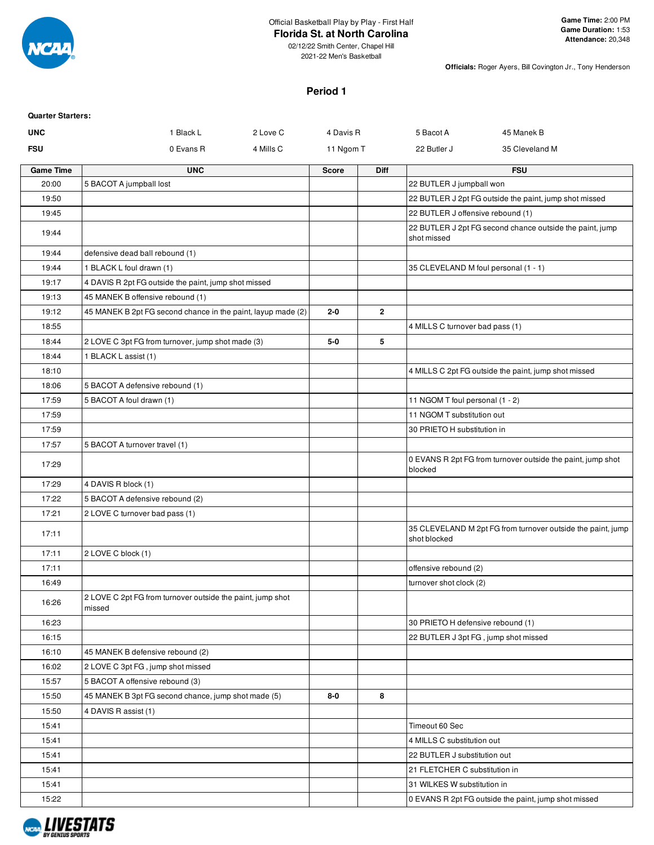

### Official Basketball Play by Play - First Half

02/12/22 Smith Center, Chapel Hill 2021-22 Men's Basketball

**Florida St. at North Carolina**

**Officials:** Roger Ayers, Bill Covington Jr., Tony Henderson

### **Period 1**

| <b>Quarter Starters:</b> |                                                                      |              |              |                                      |                                                             |
|--------------------------|----------------------------------------------------------------------|--------------|--------------|--------------------------------------|-------------------------------------------------------------|
| <b>UNC</b>               | 1 Black L<br>2 Love C                                                | 4 Davis R    |              | 5 Bacot A                            | 45 Manek B                                                  |
| <b>FSU</b>               | 0 Evans R<br>4 Mills C                                               | 11 Ngom T    |              | 22 Butler J                          | 35 Cleveland M                                              |
| <b>Game Time</b>         | <b>UNC</b>                                                           | <b>Score</b> | <b>Diff</b>  |                                      | <b>FSU</b>                                                  |
| 20:00                    | 5 BACOT A jumpball lost                                              |              |              | 22 BUTLER J jumpball won             |                                                             |
| 19:50                    |                                                                      |              |              |                                      | 22 BUTLER J 2pt FG outside the paint, jump shot missed      |
| 19:45                    |                                                                      |              |              | 22 BUTLER J offensive rebound (1)    |                                                             |
| 19:44                    |                                                                      |              |              | shot missed                          | 22 BUTLER J 2pt FG second chance outside the paint, jump    |
| 19:44                    | defensive dead ball rebound (1)                                      |              |              |                                      |                                                             |
| 19:44                    | 1 BLACK L foul drawn (1)                                             |              |              | 35 CLEVELAND M foul personal (1 - 1) |                                                             |
| 19:17                    | 4 DAVIS R 2pt FG outside the paint, jump shot missed                 |              |              |                                      |                                                             |
| 19:13                    | 45 MANEK B offensive rebound (1)                                     |              |              |                                      |                                                             |
| 19:12                    | 45 MANEK B 2pt FG second chance in the paint, layup made (2)         | $2 - 0$      | $\mathbf{2}$ |                                      |                                                             |
| 18:55                    |                                                                      |              |              | 4 MILLS C turnover bad pass (1)      |                                                             |
| 18:44                    | 2 LOVE C 3pt FG from turnover, jump shot made (3)                    | 5-0          | 5            |                                      |                                                             |
| 18:44                    | 1 BLACK L assist (1)                                                 |              |              |                                      |                                                             |
| 18:10                    |                                                                      |              |              |                                      | 4 MILLS C 2pt FG outside the paint, jump shot missed        |
| 18:06                    | 5 BACOT A defensive rebound (1)                                      |              |              |                                      |                                                             |
| 17:59                    | 5 BACOT A foul drawn (1)                                             |              |              | 11 NGOM T foul personal (1 - 2)      |                                                             |
| 17:59                    |                                                                      |              |              | 11 NGOM T substitution out           |                                                             |
| 17:59                    |                                                                      |              |              | 30 PRIETO H substitution in          |                                                             |
| 17:57                    | 5 BACOT A turnover travel (1)                                        |              |              |                                      |                                                             |
| 17:29                    |                                                                      |              |              | blocked                              | 0 EVANS R 2pt FG from turnover outside the paint, jump shot |
| 17:29                    | 4 DAVIS R block (1)                                                  |              |              |                                      |                                                             |
| 17:22                    | 5 BACOT A defensive rebound (2)                                      |              |              |                                      |                                                             |
| 17:21                    | 2 LOVE C turnover bad pass (1)                                       |              |              |                                      |                                                             |
| 17:11                    |                                                                      |              |              | shot blocked                         | 35 CLEVELAND M 2pt FG from turnover outside the paint, jump |
| 17:11                    | 2 LOVE C block (1)                                                   |              |              |                                      |                                                             |
| 17:11                    |                                                                      |              |              | offensive rebound (2)                |                                                             |
| 16:49                    |                                                                      |              |              | turnover shot clock (2)              |                                                             |
| 16:26                    | 2 LOVE C 2pt FG from turnover outside the paint, jump shot<br>missed |              |              |                                      |                                                             |
| 16:23                    |                                                                      |              |              | 30 PRIETO H defensive rebound (1)    |                                                             |
| 16:15                    |                                                                      |              |              | 22 BUTLER J 3pt FG, jump shot missed |                                                             |
| 16:10                    | 45 MANEK B defensive rebound (2)                                     |              |              |                                      |                                                             |
| 16:02                    | 2 LOVE C 3pt FG, jump shot missed                                    |              |              |                                      |                                                             |
| 15:57                    | 5 BACOT A offensive rebound (3)                                      |              |              |                                      |                                                             |
| 15:50                    | 45 MANEK B 3pt FG second chance, jump shot made (5)                  | $8-0$        | 8            |                                      |                                                             |
| 15:50                    | 4 DAVIS R assist (1)                                                 |              |              |                                      |                                                             |
| 15:41                    |                                                                      |              |              | Timeout 60 Sec                       |                                                             |
| 15:41                    |                                                                      |              |              | 4 MILLS C substitution out           |                                                             |
| 15:41                    |                                                                      |              |              | 22 BUTLER J substitution out         |                                                             |
| 15:41                    |                                                                      |              |              | 21 FLETCHER C substitution in        |                                                             |
| 15:41                    |                                                                      |              |              | 31 WILKES W substitution in          |                                                             |
| 15:22                    |                                                                      |              |              |                                      | 0 EVANS R 2pt FG outside the paint, jump shot missed        |

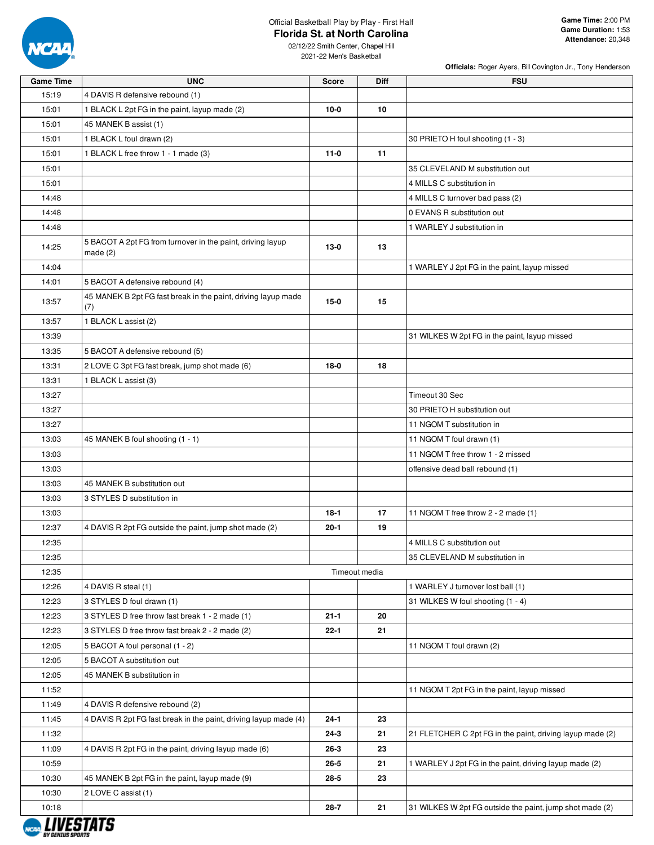

### Official Basketball Play by Play - First Half **Florida St. at North Carolina**

02/12/22 Smith Center, Chapel Hill 2021-22 Men's Basketball

| <b>Game Time</b>  | <b>UNC</b>                                                               | Score    | Diff          | <b>FSU</b>                                                |
|-------------------|--------------------------------------------------------------------------|----------|---------------|-----------------------------------------------------------|
| 15:19             | 4 DAVIS R defensive rebound (1)                                          |          |               |                                                           |
| 15:01             | 1 BLACK L 2pt FG in the paint, layup made (2)                            | $10-0$   | 10            |                                                           |
| 15:01             | 45 MANEK B assist (1)                                                    |          |               |                                                           |
| 15:01             | 1 BLACK L foul drawn (2)                                                 |          |               | 30 PRIETO H foul shooting (1 - 3)                         |
| 15:01             | 1 BLACK L free throw 1 - 1 made (3)                                      | $11-0$   | 11            |                                                           |
| 15:01             |                                                                          |          |               | 35 CLEVELAND M substitution out                           |
| 15:01             |                                                                          |          |               | 4 MILLS C substitution in                                 |
| 14:48             |                                                                          |          |               | 4 MILLS C turnover bad pass (2)                           |
| 14:48             |                                                                          |          |               | 0 EVANS R substitution out                                |
| 14:48             |                                                                          |          |               | 1 WARLEY J substitution in                                |
| 14:25             | 5 BACOT A 2pt FG from turnover in the paint, driving layup<br>made $(2)$ | $13-0$   | 13            |                                                           |
| 14:04             |                                                                          |          |               | 1 WARLEY J 2pt FG in the paint, layup missed              |
| 14:01             | 5 BACOT A defensive rebound (4)                                          |          |               |                                                           |
| 13:57             | 45 MANEK B 2pt FG fast break in the paint, driving layup made<br>(7)     | $15-0$   | 15            |                                                           |
| 13:57             | 1 BLACK L assist (2)                                                     |          |               |                                                           |
| 13:39             |                                                                          |          |               | 31 WILKES W 2pt FG in the paint, layup missed             |
| 13:35             | 5 BACOT A defensive rebound (5)                                          |          |               |                                                           |
| 13:31             | 2 LOVE C 3pt FG fast break, jump shot made (6)                           | $18-0$   | 18            |                                                           |
| 13:31             | 1 BLACK L assist (3)                                                     |          |               |                                                           |
| 13:27             |                                                                          |          |               | Timeout 30 Sec                                            |
| 13:27             |                                                                          |          |               | 30 PRIETO H substitution out                              |
| 13:27             |                                                                          |          |               | 11 NGOM T substitution in                                 |
| 13:03             | 45 MANEK B foul shooting (1 - 1)                                         |          |               | 11 NGOM T foul drawn (1)                                  |
| 13:03             |                                                                          |          |               | 11 NGOM T free throw 1 - 2 missed                         |
| 13:03             |                                                                          |          |               | offensive dead ball rebound (1)                           |
| 13:03             | 45 MANEK B substitution out                                              |          |               |                                                           |
| 13:03             | 3 STYLES D substitution in                                               |          |               |                                                           |
| 13:03             |                                                                          | $18-1$   | 17            | 11 NGOM T free throw 2 - 2 made (1)                       |
| 12:37             | 4 DAVIS R 2pt FG outside the paint, jump shot made (2)                   | $20 - 1$ | 19            |                                                           |
| 12:35             |                                                                          |          |               | 4 MILLS C substitution out                                |
| 12:35             |                                                                          |          |               | 35 CLEVELAND M substitution in                            |
| 12:35             |                                                                          |          | Timeout media |                                                           |
| 12:26             | 4 DAVIS R steal (1)                                                      |          |               | 1 WARLEY J turnover lost ball (1)                         |
| 12:23             | 3 STYLES D foul drawn (1)                                                |          |               | 31 WILKES W foul shooting (1 - 4)                         |
| 12:23             | 3 STYLES D free throw fast break 1 - 2 made (1)                          | $21 - 1$ | 20            |                                                           |
| 12:23             | 3 STYLES D free throw fast break 2 - 2 made (2)                          | $22 - 1$ | 21            |                                                           |
| 12:05             | 5 BACOT A foul personal (1 - 2)                                          |          |               | 11 NGOM T foul drawn (2)                                  |
| 12:05             | 5 BACOT A substitution out                                               |          |               |                                                           |
| 12:05             | 45 MANEK B substitution in                                               |          |               |                                                           |
| 11:52             |                                                                          |          |               | 11 NGOM T 2pt FG in the paint, layup missed               |
| 11:49             | 4 DAVIS R defensive rebound (2)                                          |          |               |                                                           |
| 11:45             | 4 DAVIS R 2pt FG fast break in the paint, driving layup made (4)         | $24-1$   | 23            |                                                           |
| 11:32             |                                                                          | $24-3$   | 21            | 21 FLETCHER C 2pt FG in the paint, driving layup made (2) |
| 11:09<br>10:59    | 4 DAVIS R 2pt FG in the paint, driving layup made (6)                    | 26-3     | 23            |                                                           |
|                   |                                                                          | $26 - 5$ | 21            | 1 WARLEY J 2pt FG in the paint, driving layup made (2)    |
| 10:30             | 45 MANEK B 2pt FG in the paint, layup made (9)                           | $28 - 5$ | 23            |                                                           |
| 10:30             | 2 LOVE C assist (1)                                                      |          |               |                                                           |
| 10:18<br>IIIIFATF |                                                                          | 28-7     | 21            | 31 WILKES W 2pt FG outside the paint, jump shot made (2)  |

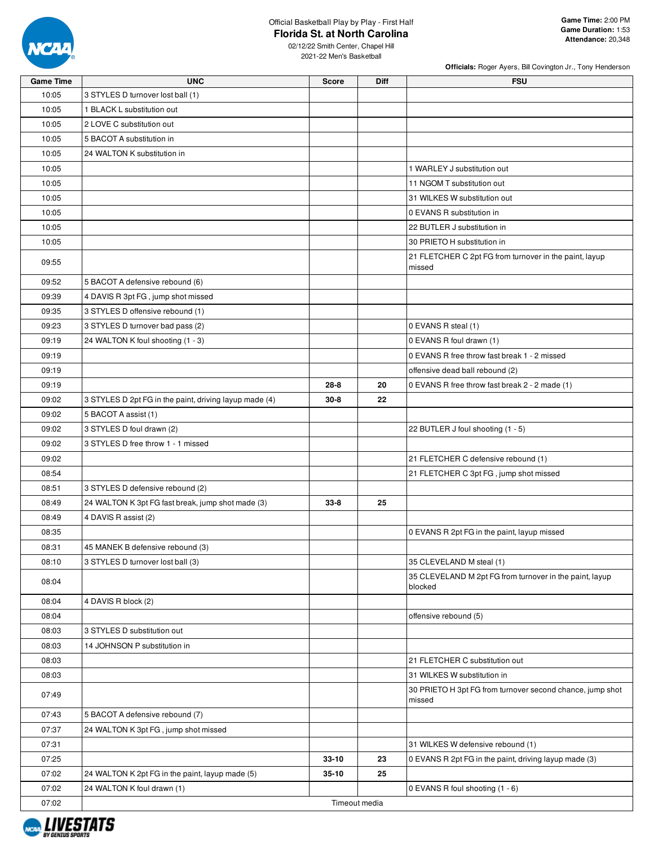

### Official Basketball Play by Play - First Half **Florida St. at North Carolina**

**Officials:** Roger Ayers, Bill Covington Jr., Tony Henderson

| <b>Game Time</b> | <b>UNC</b>                                             | <b>Score</b>  | <b>Diff</b> | <b>FSU</b>                                                         |
|------------------|--------------------------------------------------------|---------------|-------------|--------------------------------------------------------------------|
| 10:05            | 3 STYLES D turnover lost ball (1)                      |               |             |                                                                    |
| 10:05            | 1 BLACK L substitution out                             |               |             |                                                                    |
| 10:05            | 2 LOVE C substitution out                              |               |             |                                                                    |
| 10:05            | 5 BACOT A substitution in                              |               |             |                                                                    |
| 10:05            | 24 WALTON K substitution in                            |               |             |                                                                    |
| 10:05            |                                                        |               |             | 1 WARLEY J substitution out                                        |
| 10:05            |                                                        |               |             | 11 NGOM T substitution out                                         |
| 10:05            |                                                        |               |             | 31 WILKES W substitution out                                       |
| 10:05            |                                                        |               |             | 0 EVANS R substitution in                                          |
| 10:05            |                                                        |               |             | 22 BUTLER J substitution in                                        |
| 10:05            |                                                        |               |             | 30 PRIETO H substitution in                                        |
|                  |                                                        |               |             | 21 FLETCHER C 2pt FG from turnover in the paint, layup             |
| 09:55            |                                                        |               |             | missed                                                             |
| 09:52            | 5 BACOT A defensive rebound (6)                        |               |             |                                                                    |
| 09:39            | 4 DAVIS R 3pt FG, jump shot missed                     |               |             |                                                                    |
| 09:35            | 3 STYLES D offensive rebound (1)                       |               |             |                                                                    |
| 09:23            | 3 STYLES D turnover bad pass (2)                       |               |             | 0 EVANS R steal (1)                                                |
| 09:19            | 24 WALTON K foul shooting (1 - 3)                      |               |             | 0 EVANS R foul drawn (1)                                           |
| 09:19            |                                                        |               |             | 0 EVANS R free throw fast break 1 - 2 missed                       |
| 09:19            |                                                        |               |             | offensive dead ball rebound (2)                                    |
| 09:19            |                                                        | $28 - 8$      | 20          | 0 EVANS R free throw fast break 2 - 2 made (1)                     |
| 09:02            | 3 STYLES D 2pt FG in the paint, driving layup made (4) | $30 - 8$      | 22          |                                                                    |
| 09:02            | 5 BACOT A assist (1)                                   |               |             |                                                                    |
| 09:02            | 3 STYLES D foul drawn (2)                              |               |             | 22 BUTLER J foul shooting (1 - 5)                                  |
| 09:02            | 3 STYLES D free throw 1 - 1 missed                     |               |             |                                                                    |
| 09:02            |                                                        |               |             | 21 FLETCHER C defensive rebound (1)                                |
| 08:54            |                                                        |               |             | 21 FLETCHER C 3pt FG, jump shot missed                             |
| 08:51            | 3 STYLES D defensive rebound (2)                       |               |             |                                                                    |
| 08:49            | 24 WALTON K 3pt FG fast break, jump shot made (3)      | $33 - 8$      | 25          |                                                                    |
|                  |                                                        |               |             |                                                                    |
| 08:49            | 4 DAVIS R assist (2)                                   |               |             |                                                                    |
| 08:35            |                                                        |               |             | 0 EVANS R 2pt FG in the paint, layup missed                        |
| 08:31            | 45 MANEK B defensive rebound (3)                       |               |             |                                                                    |
| 08:10            | 3 STYLES D turnover lost ball (3)                      |               |             | 35 CLEVELAND M steal (1)                                           |
| 08:04            |                                                        |               |             | 35 CLEVELAND M 2pt FG from turnover in the paint, layup<br>blocked |
| 08:04            | 4 DAVIS R block (2)                                    |               |             |                                                                    |
| 08:04            |                                                        |               |             | offensive rebound (5)                                              |
| 08:03            | 3 STYLES D substitution out                            |               |             |                                                                    |
| 08:03            | 14 JOHNSON P substitution in                           |               |             |                                                                    |
| 08:03            |                                                        |               |             | 21 FLETCHER C substitution out                                     |
| 08:03            |                                                        |               |             | 31 WILKES W substitution in                                        |
|                  |                                                        |               |             | 30 PRIETO H 3pt FG from turnover second chance, jump shot          |
| 07:49            |                                                        |               |             | missed                                                             |
| 07:43            | 5 BACOT A defensive rebound (7)                        |               |             |                                                                    |
| 07:37            | 24 WALTON K 3pt FG, jump shot missed                   |               |             |                                                                    |
| 07:31            |                                                        |               |             | 31 WILKES W defensive rebound (1)                                  |
| 07:25            |                                                        | $33 - 10$     | 23          | 0 EVANS R 2pt FG in the paint, driving layup made (3)              |
| 07:02            | 24 WALTON K 2pt FG in the paint, layup made (5)        | $35-10$       | 25          |                                                                    |
| 07:02            | 24 WALTON K foul drawn (1)                             |               |             | 0 EVANS R foul shooting (1 - 6)                                    |
| 07:02            |                                                        | Timeout media |             |                                                                    |
|                  |                                                        |               |             |                                                                    |

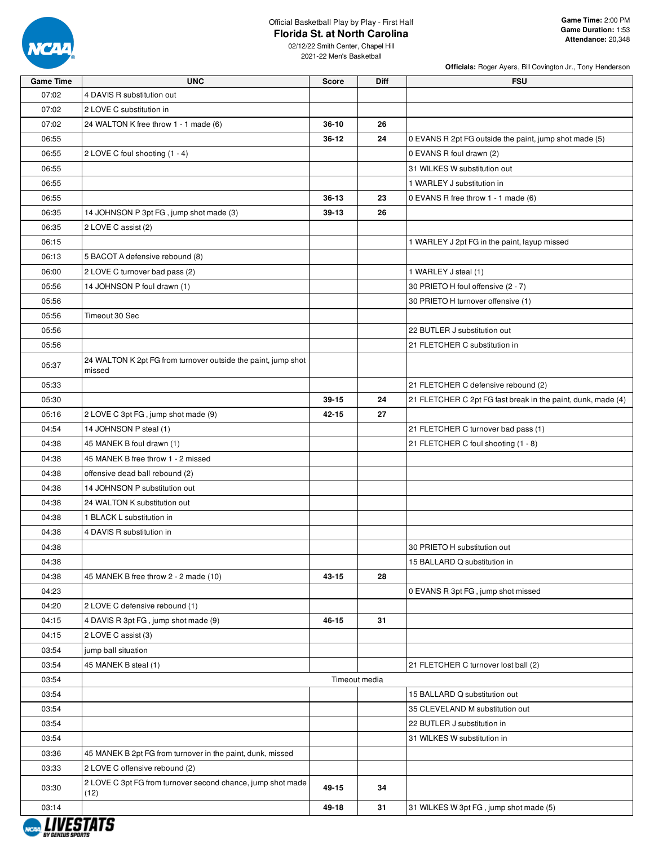

### Official Basketball Play by Play - First Half **Florida St. at North Carolina**

02/12/22 Smith Center, Chapel Hill

2021-22 Men's Basketball

| <b>Game Time</b> | <b>UNC</b>                                                          | <b>Score</b>  | <b>Diff</b> | <b>FSU</b>                                                   |
|------------------|---------------------------------------------------------------------|---------------|-------------|--------------------------------------------------------------|
| 07:02            | 4 DAVIS R substitution out                                          |               |             |                                                              |
| 07:02            | 2 LOVE C substitution in                                            |               |             |                                                              |
| 07:02            | 24 WALTON K free throw 1 - 1 made (6)                               | $36-10$       | 26          |                                                              |
| 06:55            |                                                                     | 36-12         | 24          | 0 EVANS R 2pt FG outside the paint, jump shot made (5)       |
| 06:55            | 2 LOVE C foul shooting (1 - 4)                                      |               |             | 0 EVANS R foul drawn (2)                                     |
| 06:55            |                                                                     |               |             | 31 WILKES W substitution out                                 |
| 06:55            |                                                                     |               |             | 1 WARLEY J substitution in                                   |
| 06:55            |                                                                     | 36-13         | 23          | 0 EVANS R free throw 1 - 1 made (6)                          |
| 06:35            | 14 JOHNSON P 3pt FG, jump shot made (3)                             | 39-13         | 26          |                                                              |
| 06:35            | 2 LOVE C assist (2)                                                 |               |             |                                                              |
| 06:15            |                                                                     |               |             | 1 WARLEY J 2pt FG in the paint, layup missed                 |
| 06:13            | 5 BACOT A defensive rebound (8)                                     |               |             |                                                              |
| 06:00            | 2 LOVE C turnover bad pass (2)                                      |               |             | 1 WARLEY J steal (1)                                         |
| 05:56            | 14 JOHNSON P foul drawn (1)                                         |               |             | 30 PRIETO H foul offensive (2 - 7)                           |
| 05:56            |                                                                     |               |             | 30 PRIETO H turnover offensive (1)                           |
| 05:56            | Timeout 30 Sec                                                      |               |             |                                                              |
| 05:56            |                                                                     |               |             | 22 BUTLER J substitution out                                 |
| 05:56            |                                                                     |               |             | 21 FLETCHER C substitution in                                |
|                  | 24 WALTON K 2pt FG from turnover outside the paint, jump shot       |               |             |                                                              |
| 05:37            | missed                                                              |               |             |                                                              |
| 05:33            |                                                                     |               |             | 21 FLETCHER C defensive rebound (2)                          |
| 05:30            |                                                                     | 39-15         | 24          | 21 FLETCHER C 2pt FG fast break in the paint, dunk, made (4) |
| 05:16            | 2 LOVE C 3pt FG, jump shot made (9)                                 | 42-15         | 27          |                                                              |
| 04:54            | 14 JOHNSON P steal (1)                                              |               |             | 21 FLETCHER C turnover bad pass (1)                          |
| 04:38            | 45 MANEK B foul drawn (1)                                           |               |             | 21 FLETCHER C foul shooting (1 - 8)                          |
| 04:38            | 45 MANEK B free throw 1 - 2 missed                                  |               |             |                                                              |
| 04:38            | offensive dead ball rebound (2)                                     |               |             |                                                              |
| 04:38            | 14 JOHNSON P substitution out                                       |               |             |                                                              |
| 04:38            | 24 WALTON K substitution out                                        |               |             |                                                              |
| 04:38            | 1 BLACK L substitution in                                           |               |             |                                                              |
| 04:38            | 4 DAVIS R substitution in                                           |               |             |                                                              |
| 04:38            |                                                                     |               |             | 30 PRIETO H substitution out                                 |
| 04:38            |                                                                     |               |             | 15 BALLARD Q substitution in                                 |
| 04:38            | 45 MANEK B free throw 2 - 2 made (10)                               | 43-15         | 28          |                                                              |
| 04:23            |                                                                     |               |             | 0 EVANS R 3pt FG, jump shot missed                           |
| 04:20            | 2 LOVE C defensive rebound (1)                                      |               |             |                                                              |
| 04:15            | 4 DAVIS R 3pt FG, jump shot made (9)                                | 46-15         | 31          |                                                              |
| 04:15            | 2 LOVE C assist (3)                                                 |               |             |                                                              |
| 03:54            | jump ball situation                                                 |               |             |                                                              |
| 03:54            | 45 MANEK B steal (1)                                                |               |             | 21 FLETCHER C turnover lost ball (2)                         |
| 03:54            |                                                                     | Timeout media |             |                                                              |
| 03:54            |                                                                     |               |             | 15 BALLARD Q substitution out                                |
| 03:54            |                                                                     |               |             | 35 CLEVELAND M substitution out                              |
| 03:54            |                                                                     |               |             | 22 BUTLER J substitution in                                  |
| 03:54            |                                                                     |               |             | 31 WILKES W substitution in                                  |
| 03:36            | 45 MANEK B 2pt FG from turnover in the paint, dunk, missed          |               |             |                                                              |
| 03:33            | 2 LOVE C offensive rebound (2)                                      |               |             |                                                              |
| 03:30            | 2 LOVE C 3pt FG from turnover second chance, jump shot made<br>(12) | 49-15         | 34          |                                                              |
| 03:14            |                                                                     | 49-18         | 31          | 31 WILKES W 3pt FG, jump shot made (5)                       |
|                  |                                                                     |               |             |                                                              |

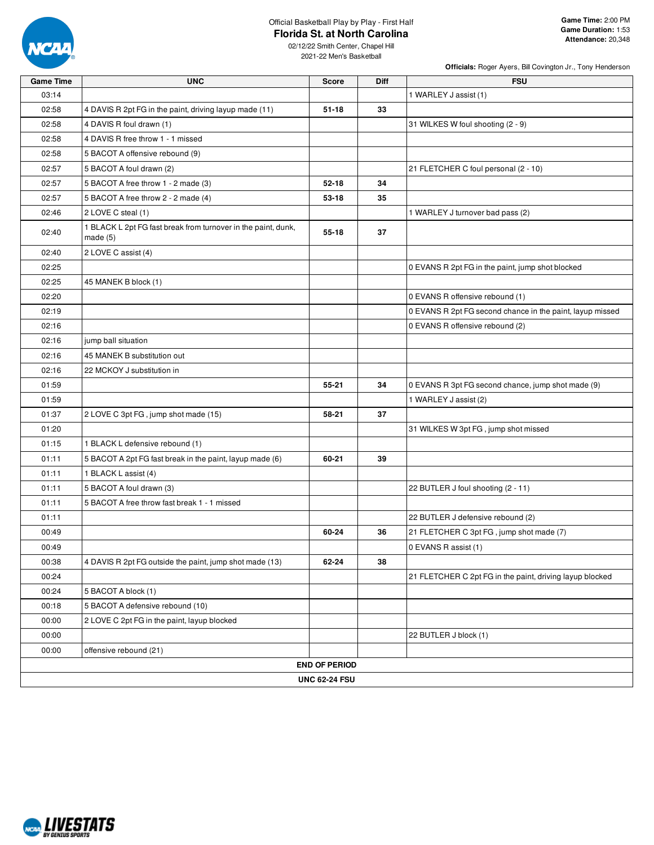

# Official Basketball Play by Play - First Half

**Florida St. at North Carolina**

02/12/22 Smith Center, Chapel Hill 2021-22 Men's Basketball

| <b>Game Time</b> | <b>UNC</b>                                                                  | <b>Score</b>         | Diff | <b>FSU</b>                                                |
|------------------|-----------------------------------------------------------------------------|----------------------|------|-----------------------------------------------------------|
| 03:14            |                                                                             |                      |      | 1 WARLEY J assist (1)                                     |
| 02:58            | 4 DAVIS R 2pt FG in the paint, driving layup made (11)                      | $51 - 18$            | 33   |                                                           |
| 02:58            | 4 DAVIS R foul drawn (1)                                                    |                      |      | 31 WILKES W foul shooting (2 - 9)                         |
| 02:58            | 4 DAVIS R free throw 1 - 1 missed                                           |                      |      |                                                           |
| 02:58            | 5 BACOT A offensive rebound (9)                                             |                      |      |                                                           |
| 02:57            | 5 BACOT A foul drawn (2)                                                    |                      |      | 21 FLETCHER C foul personal (2 - 10)                      |
| 02:57            | 5 BACOT A free throw 1 - 2 made (3)                                         | $52 - 18$            | 34   |                                                           |
| 02:57            | 5 BACOT A free throw 2 - 2 made (4)                                         | 53-18                | 35   |                                                           |
| 02:46            | 2 LOVE C steal (1)                                                          |                      |      | 1 WARLEY J turnover bad pass (2)                          |
| 02:40            | 1 BLACK L 2pt FG fast break from turnover in the paint, dunk,<br>made $(5)$ | $55 - 18$            | 37   |                                                           |
| 02:40            | 2 LOVE C assist (4)                                                         |                      |      |                                                           |
| 02:25            |                                                                             |                      |      | 0 EVANS R 2pt FG in the paint, jump shot blocked          |
| 02:25            | 45 MANEK B block (1)                                                        |                      |      |                                                           |
| 02:20            |                                                                             |                      |      | 0 EVANS R offensive rebound (1)                           |
| 02:19            |                                                                             |                      |      | 0 EVANS R 2pt FG second chance in the paint, layup missed |
| 02:16            |                                                                             |                      |      | 0 EVANS R offensive rebound (2)                           |
| 02:16            | jump ball situation                                                         |                      |      |                                                           |
| 02:16            | 45 MANEK B substitution out                                                 |                      |      |                                                           |
| 02:16            | 22 MCKOY J substitution in                                                  |                      |      |                                                           |
| 01:59            |                                                                             | 55-21                | 34   | 0 EVANS R 3pt FG second chance, jump shot made (9)        |
| 01:59            |                                                                             |                      |      | 1 WARLEY J assist (2)                                     |
| 01:37            | 2 LOVE C 3pt FG, jump shot made (15)                                        | 58-21                | 37   |                                                           |
| 01:20            |                                                                             |                      |      | 31 WILKES W 3pt FG, jump shot missed                      |
| 01:15            | 1 BLACK L defensive rebound (1)                                             |                      |      |                                                           |
| 01:11            | 5 BACOT A 2pt FG fast break in the paint, layup made (6)                    | 60-21                | 39   |                                                           |
| 01:11            | 1 BLACK L assist (4)                                                        |                      |      |                                                           |
| 01:11            | 5 BACOT A foul drawn (3)                                                    |                      |      | 22 BUTLER J foul shooting (2 - 11)                        |
| 01:11            | 5 BACOT A free throw fast break 1 - 1 missed                                |                      |      |                                                           |
| 01:11            |                                                                             |                      |      | 22 BUTLER J defensive rebound (2)                         |
| 00:49            |                                                                             | 60-24                | 36   | 21 FLETCHER C 3pt FG, jump shot made (7)                  |
| 00:49            |                                                                             |                      |      | 0 EVANS R assist (1)                                      |
| 00:38            | 4 DAVIS R 2pt FG outside the paint, jump shot made (13)                     | 62-24                | 38   |                                                           |
| 00:24            |                                                                             |                      |      | 21 FLETCHER C 2pt FG in the paint, driving layup blocked  |
| 00:24            | 5 BACOT A block (1)                                                         |                      |      |                                                           |
| 00:18            | 5 BACOT A defensive rebound (10)                                            |                      |      |                                                           |
| 00:00            | 2 LOVE C 2pt FG in the paint, layup blocked                                 |                      |      |                                                           |
| 00:00            |                                                                             |                      |      | 22 BUTLER J block (1)                                     |
| 00:00            | offensive rebound (21)                                                      |                      |      |                                                           |
|                  |                                                                             | <b>END OF PERIOD</b> |      |                                                           |
|                  |                                                                             | <b>UNC 62-24 FSU</b> |      |                                                           |

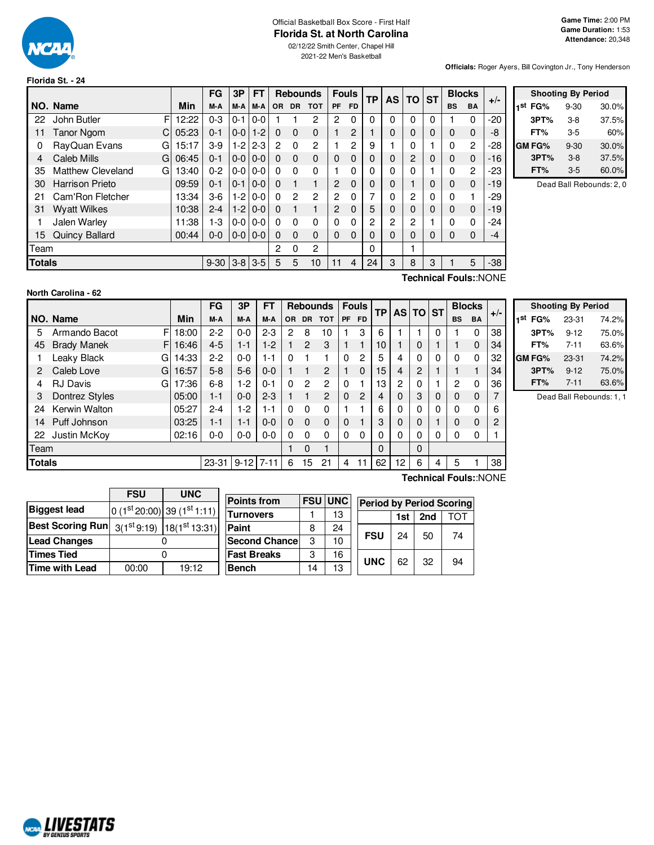

**Florida St. - 24**

# Official Basketball Box Score - First Half **Florida St. at North Carolina**

02/12/22 Smith Center, Chapel Hill 2021-22 Men's Basketball

**Officials:** Roger Ayers, Bill Covington Jr., Tony Henderson

|               |                               |       | FG       | 3P      | FT      |           |                | <b>Rebounds</b> |                | <b>Fouls</b> | <b>TP</b> | <b>AS</b>    | TO.            | <b>ST</b>    |           | <b>Blocks</b>  | $+/-$ |
|---------------|-------------------------------|-------|----------|---------|---------|-----------|----------------|-----------------|----------------|--------------|-----------|--------------|----------------|--------------|-----------|----------------|-------|
|               | NO. Name                      | Min   | M-A      | M-A     | M-A     | <b>OR</b> | <b>DR</b>      | <b>TOT</b>      | <b>PF</b>      | <b>FD</b>    |           |              |                |              | <b>BS</b> | <b>BA</b>      |       |
| 22            | F<br>John Butler              | 12:22 | $0 - 3$  | $0 - 1$ | $0-0$   |           |                | 2               | 2              | $\Omega$     | $\Omega$  | $\Omega$     | $\Omega$       | 0            |           | 0              | -20   |
| 11            | <b>Tanor Ngom</b><br>C.       | 05:23 | $0 - 1$  | $0-0$   | $1 - 2$ | $\Omega$  | $\Omega$       | $\Omega$        |                | 2            |           | $\Omega$     | 0              | $\Omega$     | $\Omega$  | $\Omega$       | -8    |
| 0             | RayQuan Evans<br>G            | 15:17 | $3-9$    | $1-2$   | $2 - 3$ | 2         | $\Omega$       | 2               |                | 2            | 9         |              | 0              |              | 0         | $\overline{c}$ | $-28$ |
| 4             | Caleb Mills<br>G              | 06:45 | $0 - 1$  | $0 - 0$ | $0-0$   | $\Omega$  | $\Omega$       | $\Omega$        | $\Omega$       | $\Omega$     | 0         | 0            | $\overline{2}$ | $\Omega$     | $\Omega$  | $\Omega$       | $-16$ |
| 35            | <b>Matthew Cleveland</b><br>G | 13:40 | $0 - 2$  | $0-0$   | $0 - 0$ | O         | $\Omega$       | 0               |                | 0            | 0         | $\mathbf{0}$ | 0              |              | 0         | $\overline{2}$ | -23   |
| 30            | Harrison Prieto               | 09:59 | $0 - 1$  | $0 - 1$ | $0-0$   | $\Omega$  |                | 1               | $\overline{2}$ | $\Omega$     | 0         | $\Omega$     |                | $\Omega$     | $\Omega$  | $\Omega$       | $-19$ |
| 21            | Cam'Ron Fletcher              | 13:34 | $3-6$    | $1-2$   | $0-0$   | $\Omega$  | $\overline{2}$ | $\overline{c}$  | 2              | 0            | 7         | $\mathbf{0}$ | 2              | $\mathbf{0}$ | $\Omega$  |                | -29   |
| 31            | <b>Wyatt Wilkes</b>           | 10:38 | $2 - 4$  | $1-2$   | $0-0$   | $\Omega$  |                | 1               | 2              | $\Omega$     | 5         | $\Omega$     | 0              | $\Omega$     | $\Omega$  | $\Omega$       | $-19$ |
|               | Jalen Warley                  | 11:38 | $1-3$    | $0-0$   | $0-0$   | $\Omega$  | $\Omega$       | 0               | $\Omega$       | 0            | 2         | 2            | 2              |              | $\Omega$  | $\Omega$       | -24   |
| 15            | Quincy Ballard                | 00:44 | $0-0$    | $0-0$   | $0 - 0$ | $\Omega$  | $\Omega$       | $\mathbf{0}$    | $\Omega$       | $\Omega$     | $\Omega$  | $\Omega$     | 0              | $\Omega$     | $\Omega$  | $\Omega$       | $-4$  |
| Team          |                               |       |          |         | 2       | $\Omega$  | 2              |                 |                | $\Omega$     |           |              |                |              |           |                |       |
| <b>Totals</b> |                               |       | $9 - 30$ | $3-8$   | $3-5$   | 5         | 5              | 10              | 11             | 4            | 24        | 3            | 8              | 3            |           | 5              | $-38$ |

|                     | <b>Shooting By Period</b> |       |
|---------------------|---------------------------|-------|
| 1 <sup>st</sup> FG% | $9 - 30$                  | 30.0% |
| 3PT%                | $3-8$                     | 37.5% |
| FT%                 | 3-5                       | 60%   |
| GM FG%              | $9 - 30$                  | 30.0% |
| 3PT%                | $3 - 8$                   | 37.5% |
| FT%                 | $3 - 5$                   | 60.0% |

Dead Ball Rebounds: 2, 0

### **North Carolina - 62**

**Technical Fouls:**:NONE

|               |                         |       | FG      | 3P       | FT       |          |                | <b>Rebounds</b> |             | <b>Fouls</b> | <b>TP</b> | <b>ASITO</b> |   |   |                | <b>ST</b>   |       | <b>Blocks</b> |  |
|---------------|-------------------------|-------|---------|----------|----------|----------|----------------|-----------------|-------------|--------------|-----------|--------------|---|---|----------------|-------------|-------|---------------|--|
|               | NO. Name                | Min   | M-A     | M-A      | M-A      | OR.      | <b>DR</b>      | <b>TOT</b>      | PF          | <b>FD</b>    |           |              |   |   | <b>BS</b>      | <b>BA</b>   | $+/-$ |               |  |
| 5             | Armando Bacot<br>F      | 18:00 | 2-2     | $0 - 0$  | $2 - 3$  | 2        | 8              | 10              |             | 3            | 6         |              |   | 0 |                | 0           | 38    |               |  |
| 45            | <b>Brady Manek</b><br>F | 16:46 | $4 - 5$ | $1 - 1$  | $1-2$    |          | $\overline{c}$ | 3               |             |              | 10        |              | 0 |   |                | $\mathbf 0$ | 34    |               |  |
|               | Leaky Black<br>G        | 14:33 | $2 - 2$ | $0 - 0$  | 1-1      | $\Omega$ |                |                 | $\Omega$    | 2            | 5         | 4            | 0 | 0 | 0              | 0           | 32    |               |  |
|               | Caleb Love<br>G         | 16:57 | $5-8$   | $5-6$    | $0 - 0$  |          |                | 2               |             | 0            | 15        | 4            | 2 |   |                |             | 34    |               |  |
| 4             | <b>RJ Davis</b><br>G    | 17:36 | $6 - 8$ | 1-2      | $0 - 1$  | $\Omega$ | 2              | 2               | $\Omega$    |              | 13        | 2            |   |   | $\overline{2}$ | 0           | 36    |               |  |
| 3             | Dontrez Styles          | 05:00 | 1-1     | $0 - 0$  | $2 - 3$  |          |                | $\overline{2}$  | $\mathbf 0$ | 2            | 4         | $\Omega$     | 3 | 0 | $\mathbf 0$    | 0           |       |               |  |
| 24            | Kerwin Walton           | 05:27 | $2 - 4$ | 1-2      | 1-1      | $\Omega$ | 0              | 0               |             |              | 6         | $\Omega$     | 0 | 0 | 0              | 0           | 6     |               |  |
| 14            | Puff Johnson            | 03:25 | 1-1     | $1 - 1$  | $0-0$    | $\Omega$ | $\Omega$       | $\mathbf 0$     | 0           |              | 3         |              |   |   | 0              | 0           | 2     |               |  |
| 22            | Justin McKoy            | 02:16 | $0-0$   | $0 - 0$  | $0-0$    | 0        | $\Omega$       | 0               | 0           | $\Omega$     | 0         | 0            | 0 | 0 | 0              | 0           |       |               |  |
| Team          |                         |       |         |          |          |          | $\Omega$       |                 |             |              | $\Omega$  |              | 0 |   |                |             |       |               |  |
| <b>Totals</b> |                         |       | 23-31   | $9 - 12$ | $7 - 11$ | 6        | 15             | 21              | 4           | 11           | 62        | 12           | 6 | 4 | 5              |             | 38    |               |  |
|               | Technical Fouls::NONE   |       |         |          |          |          |                |                 |             |              |           |              |   |   |                |             |       |               |  |

| <b>Shooting By Period</b> |      |           |       |  |  |  |  |  |
|---------------------------|------|-----------|-------|--|--|--|--|--|
| 1st                       | FG%  | $23-31$   | 74.2% |  |  |  |  |  |
|                           | 3PT% | $9 - 12$  | 75.0% |  |  |  |  |  |
|                           | FT%  | $7 - 11$  | 63.6% |  |  |  |  |  |
| GM FG%                    |      | $23 - 31$ | 74.2% |  |  |  |  |  |
|                           | 3PT% | $9 - 12$  | 75.0% |  |  |  |  |  |
|                           | FT%  | $7 - 11$  | 63.6% |  |  |  |  |  |

Dead Ball Rebounds: 1, 1

|                                                             | <b>FSU</b> | <b>UNC</b>                  |                      |    | <b>FSU UNC</b> |                                 |     |     |     |
|-------------------------------------------------------------|------------|-----------------------------|----------------------|----|----------------|---------------------------------|-----|-----|-----|
| <b>Biggest lead</b>                                         |            | $ 0(1st20:00) 39(1st1:11) $ | <b>Points from</b>   |    |                | <b>Period by Period Scoring</b> |     |     |     |
|                                                             |            |                             | <b>Turnovers</b>     |    | 13             |                                 | 1st | 2nd | TOT |
| <b>Best Scoring Run</b> $3(1^{st}9.19)$ $ 18(1^{st}13.31) $ |            |                             | <b>Paint</b>         | 8  | 24             |                                 |     |     |     |
| <b>Lead Changes</b>                                         |            |                             | <b>Second Chance</b> | 3  | 10             | <b>FSU</b>                      | 24  | 50  | 74  |
| <b>Times Tied</b>                                           |            |                             | <b>Fast Breaks</b>   | 3  | 16             | <b>UNC</b>                      | 62  | 32  |     |
| <b>Time with Lead</b>                                       | 00:00      | 19:12                       | <b>Bench</b>         | 14 | 13             |                                 |     |     | 94  |

**NORD LIVESTATS**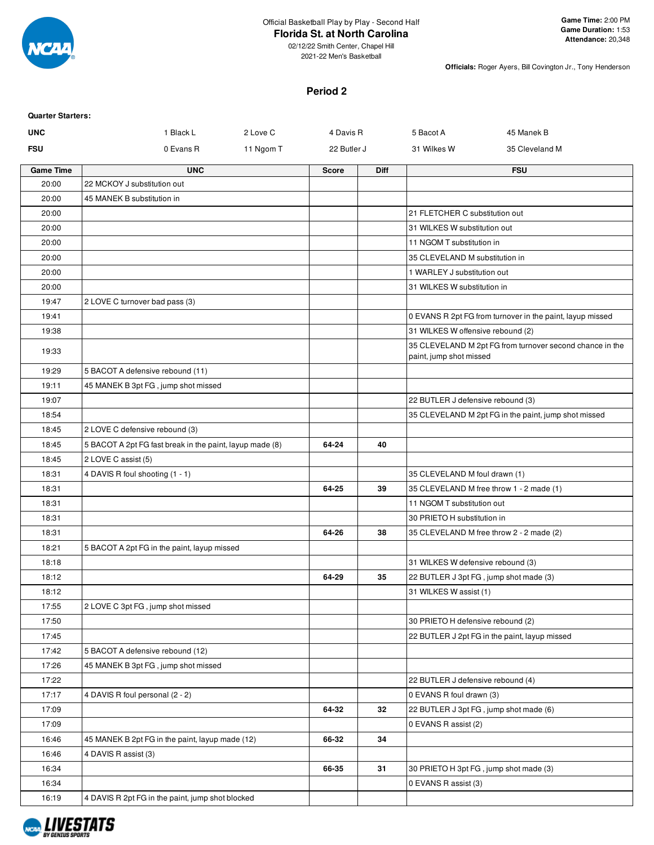

# **Florida St. at North Carolina**

**Officials:** Roger Ayers, Bill Covington Jr., Tony Henderson

### **Period 2**

| <b>Quarter Starters:</b> |                                                          |           |              |             |                                        |                                                           |
|--------------------------|----------------------------------------------------------|-----------|--------------|-------------|----------------------------------------|-----------------------------------------------------------|
| <b>UNC</b>               | 1 Black L                                                | 2 Love C  | 4 Davis R    |             | 5 Bacot A                              | 45 Manek B                                                |
| <b>FSU</b>               | 0 Evans R                                                | 11 Ngom T | 22 Butler J  |             | 31 Wilkes W                            | 35 Cleveland M                                            |
| <b>Game Time</b>         | <b>UNC</b>                                               |           | <b>Score</b> | <b>Diff</b> |                                        | <b>FSU</b>                                                |
| 20:00                    | 22 MCKOY J substitution out                              |           |              |             |                                        |                                                           |
| 20:00                    | 45 MANEK B substitution in                               |           |              |             |                                        |                                                           |
| 20:00                    |                                                          |           |              |             | 21 FLETCHER C substitution out         |                                                           |
| 20:00                    |                                                          |           |              |             | 31 WILKES W substitution out           |                                                           |
| 20:00                    |                                                          |           |              |             | 11 NGOM T substitution in              |                                                           |
| 20:00                    |                                                          |           |              |             | 35 CLEVELAND M substitution in         |                                                           |
| 20:00                    |                                                          |           |              |             | 1 WARLEY J substitution out            |                                                           |
| 20:00                    |                                                          |           |              |             | 31 WILKES W substitution in            |                                                           |
| 19:47                    | 2 LOVE C turnover bad pass (3)                           |           |              |             |                                        |                                                           |
| 19:41                    |                                                          |           |              |             |                                        | 0 EVANS R 2pt FG from turnover in the paint, layup missed |
| 19:38                    |                                                          |           |              |             | 31 WILKES W offensive rebound (2)      |                                                           |
| 19:33                    |                                                          |           |              |             | paint, jump shot missed                | 35 CLEVELAND M 2pt FG from turnover second chance in the  |
| 19:29                    | 5 BACOT A defensive rebound (11)                         |           |              |             |                                        |                                                           |
| 19:11                    | 45 MANEK B 3pt FG, jump shot missed                      |           |              |             |                                        |                                                           |
| 19:07                    |                                                          |           |              |             | 22 BUTLER J defensive rebound (3)      |                                                           |
| 18:54                    |                                                          |           |              |             |                                        | 35 CLEVELAND M 2pt FG in the paint, jump shot missed      |
| 18:45                    | 2 LOVE C defensive rebound (3)                           |           |              |             |                                        |                                                           |
| 18:45                    | 5 BACOT A 2pt FG fast break in the paint, layup made (8) |           | 64-24        | 40          |                                        |                                                           |
| 18:45                    | 2 LOVE C assist (5)                                      |           |              |             |                                        |                                                           |
| 18:31                    | 4 DAVIS R foul shooting (1 - 1)                          |           |              |             | 35 CLEVELAND M foul drawn (1)          |                                                           |
| 18:31                    |                                                          |           | 64-25        | 39          |                                        | 35 CLEVELAND M free throw 1 - 2 made (1)                  |
| 18:31                    |                                                          |           |              |             | 11 NGOM T substitution out             |                                                           |
| 18:31                    |                                                          |           |              |             | 30 PRIETO H substitution in            |                                                           |
| 18:31                    |                                                          |           | 64-26        | 38          |                                        | 35 CLEVELAND M free throw 2 - 2 made (2)                  |
| 18:21                    | 5 BACOT A 2pt FG in the paint, layup missed              |           |              |             |                                        |                                                           |
| 18:18                    |                                                          |           |              |             | 31 WILKES W defensive rebound (3)      |                                                           |
| 18:12                    |                                                          |           | 64-29        | 35          | 22 BUTLER J 3pt FG, jump shot made (3) |                                                           |
| 18:12                    |                                                          |           |              |             | 31 WILKES W assist (1)                 |                                                           |
| 17:55                    | 2 LOVE C 3pt FG, jump shot missed                        |           |              |             |                                        |                                                           |
| 17:50                    |                                                          |           |              |             | 30 PRIETO H defensive rebound (2)      |                                                           |
| 17:45                    |                                                          |           |              |             |                                        | 22 BUTLER J 2pt FG in the paint, layup missed             |
| 17:42                    | 5 BACOT A defensive rebound (12)                         |           |              |             |                                        |                                                           |
| 17:26                    | 45 MANEK B 3pt FG, jump shot missed                      |           |              |             |                                        |                                                           |
| 17:22                    |                                                          |           |              |             | 22 BUTLER J defensive rebound (4)      |                                                           |
| 17:17                    | 4 DAVIS R foul personal (2 - 2)                          |           |              |             | 0 EVANS R foul drawn (3)               |                                                           |
| 17:09                    |                                                          |           | 64-32        | 32          |                                        | 22 BUTLER J 3pt FG, jump shot made (6)                    |
| 17:09                    |                                                          |           |              |             | 0 EVANS R assist (2)                   |                                                           |
| 16:46                    | 45 MANEK B 2pt FG in the paint, layup made (12)          |           | 66-32        | 34          |                                        |                                                           |
| 16:46                    | 4 DAVIS R assist (3)                                     |           |              |             |                                        |                                                           |
| 16:34                    |                                                          |           | 66-35        | 31          | 30 PRIETO H 3pt FG, jump shot made (3) |                                                           |
| 16:34                    |                                                          |           |              |             | 0 EVANS R assist (3)                   |                                                           |
| 16:19                    | 4 DAVIS R 2pt FG in the paint, jump shot blocked         |           |              |             |                                        |                                                           |
|                          |                                                          |           |              |             |                                        |                                                           |

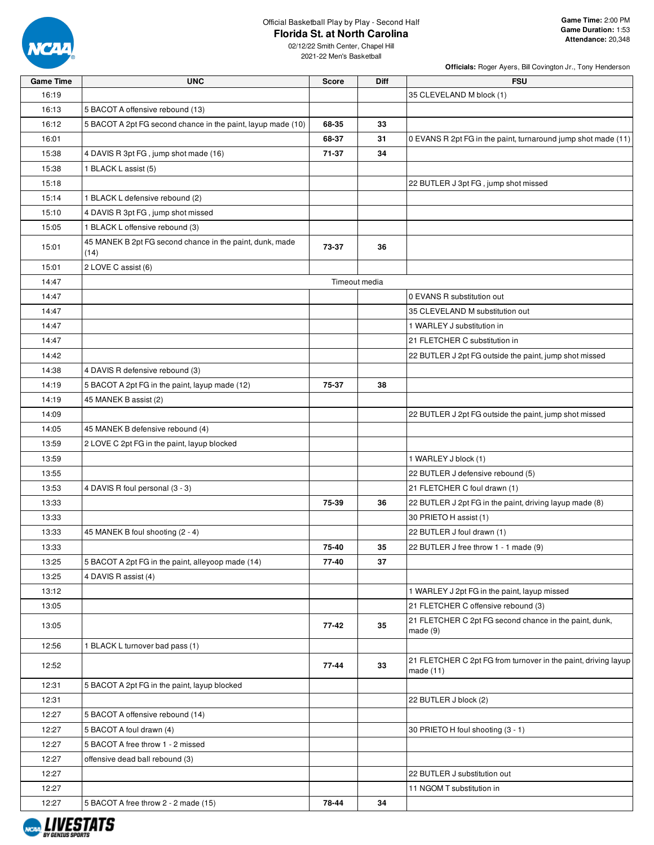

# Official Basketball Play by Play - Second Half

# **Florida St. at North Carolina**

02/12/22 Smith Center, Chapel Hill 2021-22 Men's Basketball

| <b>Game Time</b> | <b>UNC</b>                                                       | <b>Score</b> | Diff          | <b>FSU</b>                                                                  |
|------------------|------------------------------------------------------------------|--------------|---------------|-----------------------------------------------------------------------------|
| 16:19            |                                                                  |              |               | 35 CLEVELAND M block (1)                                                    |
| 16:13            | 5 BACOT A offensive rebound (13)                                 |              |               |                                                                             |
| 16:12            | 5 BACOT A 2pt FG second chance in the paint, layup made (10)     | 68-35        | 33            |                                                                             |
| 16:01            |                                                                  | 68-37        | 31            | 0 EVANS R 2pt FG in the paint, turnaround jump shot made (11)               |
| 15:38            | 4 DAVIS R 3pt FG, jump shot made (16)                            | 71-37        | 34            |                                                                             |
| 15:38            | 1 BLACK L assist (5)                                             |              |               |                                                                             |
| 15:18            |                                                                  |              |               | 22 BUTLER J 3pt FG, jump shot missed                                        |
| 15:14            | 1 BLACK L defensive rebound (2)                                  |              |               |                                                                             |
| 15:10            | 4 DAVIS R 3pt FG, jump shot missed                               |              |               |                                                                             |
| 15:05            | 1 BLACK L offensive rebound (3)                                  |              |               |                                                                             |
| 15:01            | 45 MANEK B 2pt FG second chance in the paint, dunk, made<br>(14) | 73-37        | 36            |                                                                             |
| 15:01            | 2 LOVE C assist (6)                                              |              |               |                                                                             |
| 14:47            |                                                                  |              | Timeout media |                                                                             |
| 14:47            |                                                                  |              |               | 0 EVANS R substitution out                                                  |
| 14:47            |                                                                  |              |               | 35 CLEVELAND M substitution out                                             |
| 14:47            |                                                                  |              |               | 1 WARLEY J substitution in                                                  |
| 14:47            |                                                                  |              |               | 21 FLETCHER C substitution in                                               |
| 14:42            |                                                                  |              |               | 22 BUTLER J 2pt FG outside the paint, jump shot missed                      |
| 14:38            | 4 DAVIS R defensive rebound (3)                                  |              |               |                                                                             |
| 14:19            | 5 BACOT A 2pt FG in the paint, layup made (12)                   | 75-37        | 38            |                                                                             |
| 14:19            | 45 MANEK B assist (2)                                            |              |               |                                                                             |
| 14:09            |                                                                  |              |               | 22 BUTLER J 2pt FG outside the paint, jump shot missed                      |
| 14:05            | 45 MANEK B defensive rebound (4)                                 |              |               |                                                                             |
| 13:59            | 2 LOVE C 2pt FG in the paint, layup blocked                      |              |               |                                                                             |
| 13:59            |                                                                  |              |               | 1 WARLEY J block (1)                                                        |
| 13:55            |                                                                  |              |               | 22 BUTLER J defensive rebound (5)                                           |
| 13:53            | 4 DAVIS R foul personal (3 - 3)                                  |              |               | 21 FLETCHER C foul drawn (1)                                                |
| 13:33            |                                                                  | 75-39        | 36            | 22 BUTLER J 2pt FG in the paint, driving layup made (8)                     |
| 13:33            |                                                                  |              |               | 30 PRIETO H assist (1)                                                      |
| 13:33            | 45 MANEK B foul shooting (2 - 4)                                 |              |               | 22 BUTLER J foul drawn (1)                                                  |
| 13:33            |                                                                  | 75-40        | 35            | 22 BUTLER J free throw 1 - 1 made (9)                                       |
| 13:25            | 5 BACOT A 2pt FG in the paint, alleyoop made (14)                | 77-40        | 37            |                                                                             |
| 13:25            | 4 DAVIS R assist (4)                                             |              |               |                                                                             |
| 13:12            |                                                                  |              |               | 1 WARLEY J 2pt FG in the paint, layup missed                                |
| 13:05            |                                                                  |              |               | 21 FLETCHER C offensive rebound (3)                                         |
| 13:05            |                                                                  | 77-42        | 35            | 21 FLETCHER C 2pt FG second chance in the paint, dunk,<br>made(9)           |
| 12:56            | 1 BLACK L turnover bad pass (1)                                  |              |               |                                                                             |
| 12:52            |                                                                  | 77-44        | 33            | 21 FLETCHER C 2pt FG from turnover in the paint, driving layup<br>made (11) |
| 12:31            | 5 BACOT A 2pt FG in the paint, layup blocked                     |              |               |                                                                             |
| 12:31            |                                                                  |              |               | 22 BUTLER J block (2)                                                       |
| 12:27            | 5 BACOT A offensive rebound (14)                                 |              |               |                                                                             |
| 12:27            | 5 BACOT A foul drawn (4)                                         |              |               | 30 PRIETO H foul shooting (3 - 1)                                           |
| 12:27            | 5 BACOT A free throw 1 - 2 missed                                |              |               |                                                                             |
| 12:27            | offensive dead ball rebound (3)                                  |              |               |                                                                             |
| 12:27            |                                                                  |              |               | 22 BUTLER J substitution out                                                |
| 12:27            |                                                                  |              |               | 11 NGOM T substitution in                                                   |
| 12:27            | 5 BACOT A free throw 2 - 2 made (15)                             | 78-44        | 34            |                                                                             |

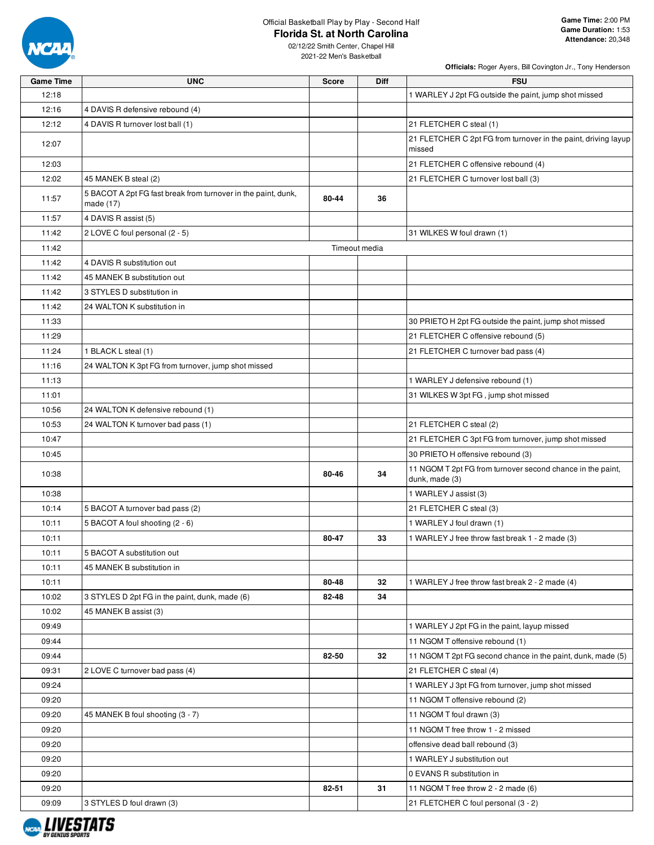

# Official Basketball Play by Play - Second Half

**Officials:** Roger Ayers, Bill Covington Jr., Tony Henderson

| <b>Game Time</b> | <b>UNC</b>                                                                 | <b>Score</b> | Diff          | <b>FSU</b>                                                                   |
|------------------|----------------------------------------------------------------------------|--------------|---------------|------------------------------------------------------------------------------|
| 12:18            |                                                                            |              |               | 1 WARLEY J 2pt FG outside the paint, jump shot missed                        |
| 12:16            | 4 DAVIS R defensive rebound (4)                                            |              |               |                                                                              |
| 12:12            | 4 DAVIS R turnover lost ball (1)                                           |              |               | 21 FLETCHER C steal (1)                                                      |
| 12:07            |                                                                            |              |               | 21 FLETCHER C 2pt FG from turnover in the paint, driving layup<br>missed     |
| 12:03            |                                                                            |              |               | 21 FLETCHER C offensive rebound (4)                                          |
| 12:02            | 45 MANEK B steal (2)                                                       |              |               | 21 FLETCHER C turnover lost ball (3)                                         |
| 11:57            | 5 BACOT A 2pt FG fast break from turnover in the paint, dunk,<br>made (17) | 80-44        | 36            |                                                                              |
| 11:57            | 4 DAVIS R assist (5)                                                       |              |               |                                                                              |
| 11:42            | 2 LOVE C foul personal (2 - 5)                                             |              |               | 31 WILKES W foul drawn (1)                                                   |
| 11:42            |                                                                            |              | Timeout media |                                                                              |
| 11:42            | 4 DAVIS R substitution out                                                 |              |               |                                                                              |
| 11:42            | 45 MANEK B substitution out                                                |              |               |                                                                              |
| 11:42            | 3 STYLES D substitution in                                                 |              |               |                                                                              |
| 11:42            | 24 WALTON K substitution in                                                |              |               |                                                                              |
| 11:33            |                                                                            |              |               | 30 PRIETO H 2pt FG outside the paint, jump shot missed                       |
| 11:29            |                                                                            |              |               | 21 FLETCHER C offensive rebound (5)                                          |
| 11:24            | 1 BLACK L steal (1)                                                        |              |               | 21 FLETCHER C turnover bad pass (4)                                          |
| 11:16            | 24 WALTON K 3pt FG from turnover, jump shot missed                         |              |               |                                                                              |
| 11:13            |                                                                            |              |               | 1 WARLEY J defensive rebound (1)                                             |
| 11:01            |                                                                            |              |               | 31 WILKES W 3pt FG, jump shot missed                                         |
| 10:56            | 24 WALTON K defensive rebound (1)                                          |              |               |                                                                              |
| 10:53            | 24 WALTON K turnover bad pass (1)                                          |              |               | 21 FLETCHER C steal (2)                                                      |
| 10:47            |                                                                            |              |               | 21 FLETCHER C 3pt FG from turnover, jump shot missed                         |
| 10:45            |                                                                            |              |               | 30 PRIETO H offensive rebound (3)                                            |
| 10:38            |                                                                            | 80-46        | 34            | 11 NGOM T 2pt FG from turnover second chance in the paint,<br>dunk, made (3) |
| 10:38            |                                                                            |              |               | 1 WARLEY J assist (3)                                                        |
| 10:14            | 5 BACOT A turnover bad pass (2)                                            |              |               | 21 FLETCHER C steal (3)                                                      |
| 10:11            | 5 BACOT A foul shooting (2 - 6)                                            |              |               | 1 WARLEY J foul drawn (1)                                                    |
| 10:11            |                                                                            | 80-47        | 33            | 1 WARLEY J free throw fast break 1 - 2 made (3)                              |
| 10:11            | 5 BACOT A substitution out                                                 |              |               |                                                                              |
| 10:11            | 45 MANEK B substitution in                                                 |              |               |                                                                              |
| 10:11            |                                                                            | 80-48        | 32            | 1 WARLEY J free throw fast break 2 - 2 made (4)                              |
| 10:02            | 3 STYLES D 2pt FG in the paint, dunk, made (6)                             | 82-48        | 34            |                                                                              |
| 10:02            | 45 MANEK B assist (3)                                                      |              |               |                                                                              |
| 09:49            |                                                                            |              |               | 1 WARLEY J 2pt FG in the paint, layup missed                                 |
| 09:44            |                                                                            |              |               | 11 NGOM T offensive rebound (1)                                              |
| 09:44            |                                                                            | 82-50        | 32            | 11 NGOM T 2pt FG second chance in the paint, dunk, made (5)                  |
| 09:31            | 2 LOVE C turnover bad pass (4)                                             |              |               | 21 FLETCHER C steal (4)                                                      |
| 09:24            |                                                                            |              |               | 1 WARLEY J 3pt FG from turnover, jump shot missed                            |
| 09:20            |                                                                            |              |               | 11 NGOM T offensive rebound (2)                                              |
| 09:20            | 45 MANEK B foul shooting (3 - 7)                                           |              |               | 11 NGOM T foul drawn (3)                                                     |
| 09:20            |                                                                            |              |               | 11 NGOM T free throw 1 - 2 missed                                            |
| 09:20            |                                                                            |              |               | offensive dead ball rebound (3)                                              |
| 09:20            |                                                                            |              |               | 1 WARLEY J substitution out                                                  |
| 09:20            |                                                                            |              |               | 0 EVANS R substitution in                                                    |
| 09:20            |                                                                            | 82-51        | 31            | 11 NGOM T free throw 2 - 2 made (6)                                          |
| 09:09            | 3 STYLES D foul drawn (3)                                                  |              |               | 21 FLETCHER C foul personal (3 - 2)                                          |
|                  |                                                                            |              |               |                                                                              |

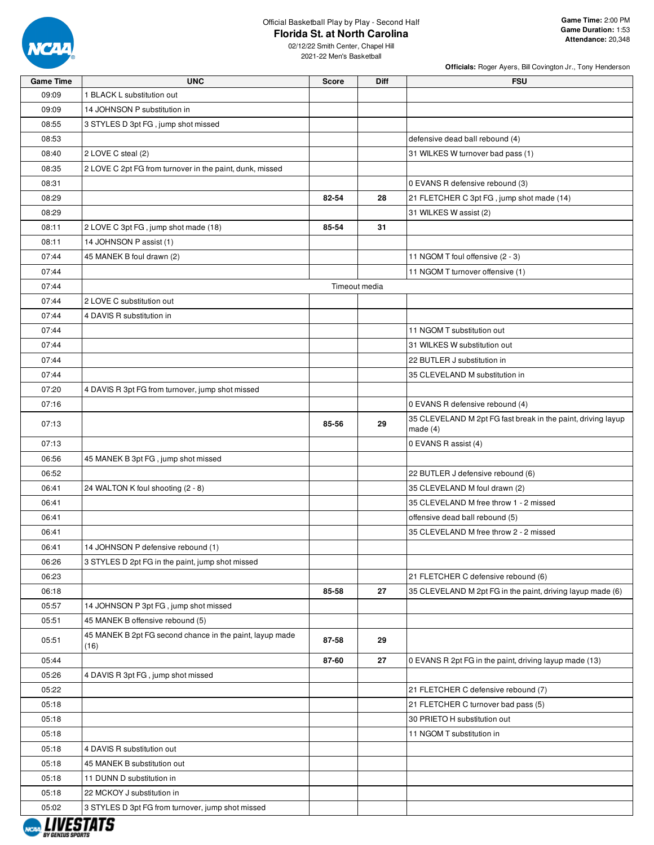

### Official Basketball Play by Play - Second Half **Florida St. at North Carolina**

**Officials:** Roger Ayers, Bill Covington Jr., Tony Henderson

| <b>Game Time</b>      | <b>UNC</b>                                                       | <b>Score</b> | <b>Diff</b>   | <b>FSU</b>                                                                 |
|-----------------------|------------------------------------------------------------------|--------------|---------------|----------------------------------------------------------------------------|
| 09:09                 | 1 BLACK L substitution out                                       |              |               |                                                                            |
| 09:09                 | 14 JOHNSON P substitution in                                     |              |               |                                                                            |
| 08:55                 | 3 STYLES D 3pt FG, jump shot missed                              |              |               |                                                                            |
| 08:53                 |                                                                  |              |               | defensive dead ball rebound (4)                                            |
| 08:40                 | 2 LOVE C steal (2)                                               |              |               | 31 WILKES W turnover bad pass (1)                                          |
| 08:35                 | 2 LOVE C 2pt FG from turnover in the paint, dunk, missed         |              |               |                                                                            |
| 08:31                 |                                                                  |              |               | 0 EVANS R defensive rebound (3)                                            |
| 08:29                 |                                                                  | 82-54        | 28            | 21 FLETCHER C 3pt FG, jump shot made (14)                                  |
| 08:29                 |                                                                  |              |               | 31 WILKES W assist (2)                                                     |
| 08:11                 | 2 LOVE C 3pt FG, jump shot made (18)                             | 85-54        | 31            |                                                                            |
| 08:11                 | 14 JOHNSON P assist (1)                                          |              |               |                                                                            |
| 07:44                 | 45 MANEK B foul drawn (2)                                        |              |               | 11 NGOM T foul offensive (2 - 3)                                           |
| 07:44                 |                                                                  |              |               | 11 NGOM T turnover offensive (1)                                           |
| 07:44                 |                                                                  |              | Timeout media |                                                                            |
| 07:44                 | 2 LOVE C substitution out                                        |              |               |                                                                            |
| 07:44                 | 4 DAVIS R substitution in                                        |              |               |                                                                            |
|                       |                                                                  |              |               |                                                                            |
| 07:44                 |                                                                  |              |               | 11 NGOM T substitution out                                                 |
| 07:44                 |                                                                  |              |               | 31 WILKES W substitution out                                               |
| 07:44                 |                                                                  |              |               | 22 BUTLER J substitution in                                                |
| 07:44                 |                                                                  |              |               | 35 CLEVELAND M substitution in                                             |
| 07:20                 | 4 DAVIS R 3pt FG from turnover, jump shot missed                 |              |               |                                                                            |
| 07:16                 |                                                                  |              |               | 0 EVANS R defensive rebound (4)                                            |
| 07:13                 |                                                                  | 85-56        | 29            | 35 CLEVELAND M 2pt FG fast break in the paint, driving layup<br>made $(4)$ |
| 07:13                 |                                                                  |              |               | 0 EVANS R assist (4)                                                       |
| 06:56                 | 45 MANEK B 3pt FG, jump shot missed                              |              |               |                                                                            |
| 06:52                 |                                                                  |              |               | 22 BUTLER J defensive rebound (6)                                          |
| 06:41                 | 24 WALTON K foul shooting (2 - 8)                                |              |               | 35 CLEVELAND M foul drawn (2)                                              |
| 06:41                 |                                                                  |              |               | 35 CLEVELAND M free throw 1 - 2 missed                                     |
| 06:41                 |                                                                  |              |               | offensive dead ball rebound (5)                                            |
| 06:41                 |                                                                  |              |               | 35 CLEVELAND M free throw 2 - 2 missed                                     |
| 06:41                 | 14 JOHNSON P defensive rebound (1)                               |              |               |                                                                            |
| 06:26                 | 3 STYLES D 2pt FG in the paint, jump shot missed                 |              |               |                                                                            |
| 06:23                 |                                                                  |              |               | 21 FLETCHER C defensive rebound (6)                                        |
| 06:18                 |                                                                  | 85-58        | 27            | 35 CLEVELAND M 2pt FG in the paint, driving layup made (6)                 |
| 05:57                 | 14 JOHNSON P 3pt FG, jump shot missed                            |              |               |                                                                            |
| 05:51                 | 45 MANEK B offensive rebound (5)                                 |              |               |                                                                            |
| 05:51                 | 45 MANEK B 2pt FG second chance in the paint, layup made<br>(16) | 87-58        | 29            |                                                                            |
| 05:44                 |                                                                  | 87-60        | 27            | 0 EVANS R 2pt FG in the paint, driving layup made (13)                     |
| 05:26                 | 4 DAVIS R 3pt FG, jump shot missed                               |              |               |                                                                            |
| 05:22                 |                                                                  |              |               | 21 FLETCHER C defensive rebound (7)                                        |
| 05:18                 |                                                                  |              |               | 21 FLETCHER C turnover bad pass (5)                                        |
| 05:18                 |                                                                  |              |               | 30 PRIETO H substitution out                                               |
| 05:18                 |                                                                  |              |               | 11 NGOM T substitution in                                                  |
| 05:18                 | 4 DAVIS R substitution out                                       |              |               |                                                                            |
| 05:18                 | 45 MANEK B substitution out                                      |              |               |                                                                            |
| 05:18                 | 11 DUNN D substitution in                                        |              |               |                                                                            |
| 05:18                 | 22 MCKOY J substitution in                                       |              |               |                                                                            |
|                       |                                                                  |              |               |                                                                            |
| 05:02<br>, ,,,,,,,,,, | 3 STYLES D 3pt FG from turnover, jump shot missed                |              |               |                                                                            |

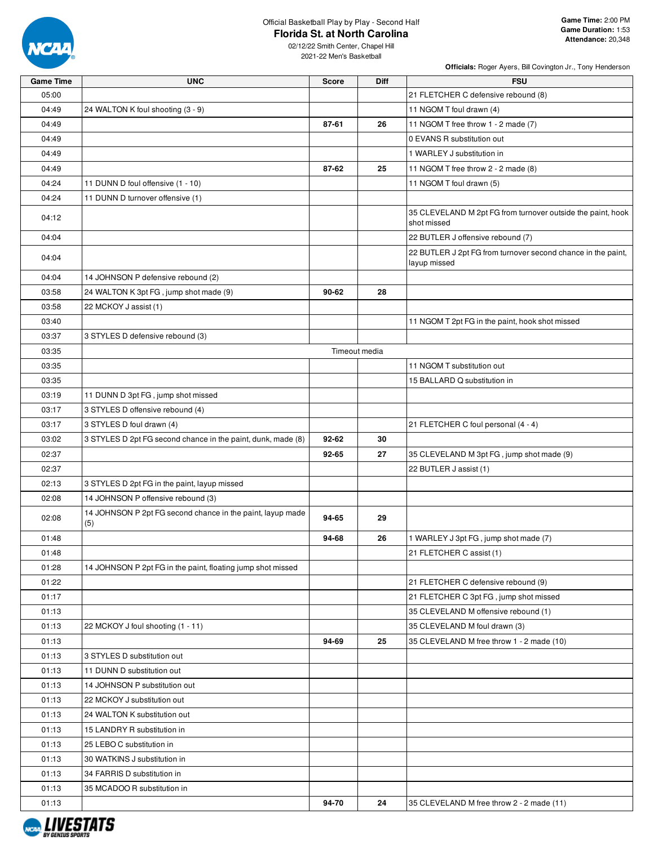

### Official Basketball Play by Play - Second Half **Florida St. at North Carolina**

**Officials:** Roger Ayers, Bill Covington Jr., Tony Henderson

| <b>Game Time</b> | <b>UNC</b>                                                        | <b>Score</b>  | <b>Diff</b> | <b>FSU</b>                                                                   |
|------------------|-------------------------------------------------------------------|---------------|-------------|------------------------------------------------------------------------------|
| 05:00            |                                                                   |               |             | 21 FLETCHER C defensive rebound (8)                                          |
| 04:49            | 24 WALTON K foul shooting (3 - 9)                                 |               |             | 11 NGOM T foul drawn (4)                                                     |
| 04:49            |                                                                   | 87-61         | 26          | 11 NGOM T free throw 1 - 2 made (7)                                          |
| 04:49            |                                                                   |               |             | 0 EVANS R substitution out                                                   |
| 04:49            |                                                                   |               |             | 1 WARLEY J substitution in                                                   |
| 04:49            |                                                                   | 87-62         | 25          | 11 NGOM T free throw 2 - 2 made (8)                                          |
| 04:24            | 11 DUNN D foul offensive (1 - 10)                                 |               |             | 11 NGOM T foul drawn (5)                                                     |
| 04:24            | 11 DUNN D turnover offensive (1)                                  |               |             |                                                                              |
| 04:12            |                                                                   |               |             | 35 CLEVELAND M 2pt FG from turnover outside the paint, hook<br>shot missed   |
| 04:04            |                                                                   |               |             | 22 BUTLER J offensive rebound (7)                                            |
| 04:04            |                                                                   |               |             | 22 BUTLER J 2pt FG from turnover second chance in the paint,<br>layup missed |
| 04:04            | 14 JOHNSON P defensive rebound (2)                                |               |             |                                                                              |
| 03:58            | 24 WALTON K 3pt FG, jump shot made (9)                            | 90-62         | 28          |                                                                              |
| 03:58            | 22 MCKOY J assist (1)                                             |               |             |                                                                              |
| 03:40            |                                                                   |               |             | 11 NGOM T 2pt FG in the paint, hook shot missed                              |
| 03:37            | 3 STYLES D defensive rebound (3)                                  |               |             |                                                                              |
| 03:35            |                                                                   | Timeout media |             |                                                                              |
| 03:35            |                                                                   |               |             | 11 NGOM T substitution out                                                   |
| 03:35            |                                                                   |               |             | 15 BALLARD Q substitution in                                                 |
| 03:19            | 11 DUNN D 3pt FG, jump shot missed                                |               |             |                                                                              |
| 03:17            | 3 STYLES D offensive rebound (4)                                  |               |             |                                                                              |
| 03:17            | 3 STYLES D foul drawn (4)                                         |               |             | 21 FLETCHER C foul personal (4 - 4)                                          |
| 03:02            | 3 STYLES D 2pt FG second chance in the paint, dunk, made (8)      | 92-62         | 30          |                                                                              |
| 02:37            |                                                                   | 92-65         | 27          | 35 CLEVELAND M 3pt FG, jump shot made (9)                                    |
| 02:37            |                                                                   |               |             | 22 BUTLER J assist (1)                                                       |
| 02:13            | 3 STYLES D 2pt FG in the paint, layup missed                      |               |             |                                                                              |
| 02:08            | 14 JOHNSON P offensive rebound (3)                                |               |             |                                                                              |
| 02:08            | 14 JOHNSON P 2pt FG second chance in the paint, layup made<br>(5) | 94-65         | 29          |                                                                              |
| 01:48            |                                                                   | 94-68         | 26          | 1 WARLEY J 3pt FG, jump shot made (7)                                        |
| 01:48            |                                                                   |               |             | 21 FLETCHER C assist (1)                                                     |
| 01:28            | 14 JOHNSON P 2pt FG in the paint, floating jump shot missed       |               |             |                                                                              |
| 01:22            |                                                                   |               |             | 21 FLETCHER C defensive rebound (9)                                          |
| 01:17            |                                                                   |               |             | 21 FLETCHER C 3pt FG, jump shot missed                                       |
| 01:13            |                                                                   |               |             | 35 CLEVELAND M offensive rebound (1)                                         |
| 01:13            | 22 MCKOY J foul shooting (1 - 11)                                 |               |             | 35 CLEVELAND M foul drawn (3)                                                |
| 01:13            |                                                                   | 94-69         | 25          | 35 CLEVELAND M free throw 1 - 2 made (10)                                    |
| 01:13            | 3 STYLES D substitution out                                       |               |             |                                                                              |
| 01:13            | 11 DUNN D substitution out                                        |               |             |                                                                              |
| 01:13            | 14 JOHNSON P substitution out                                     |               |             |                                                                              |
| 01:13            | 22 MCKOY J substitution out                                       |               |             |                                                                              |
| 01:13            | 24 WALTON K substitution out                                      |               |             |                                                                              |
| 01:13            | 15 LANDRY R substitution in                                       |               |             |                                                                              |
| 01:13            | 25 LEBO C substitution in                                         |               |             |                                                                              |
| 01:13            | 30 WATKINS J substitution in                                      |               |             |                                                                              |
| 01:13            | 34 FARRIS D substitution in                                       |               |             |                                                                              |
| 01:13            | 35 MCADOO R substitution in                                       |               |             |                                                                              |
| 01:13            |                                                                   | 94-70         | 24          | 35 CLEVELAND M free throw 2 - 2 made (11)                                    |

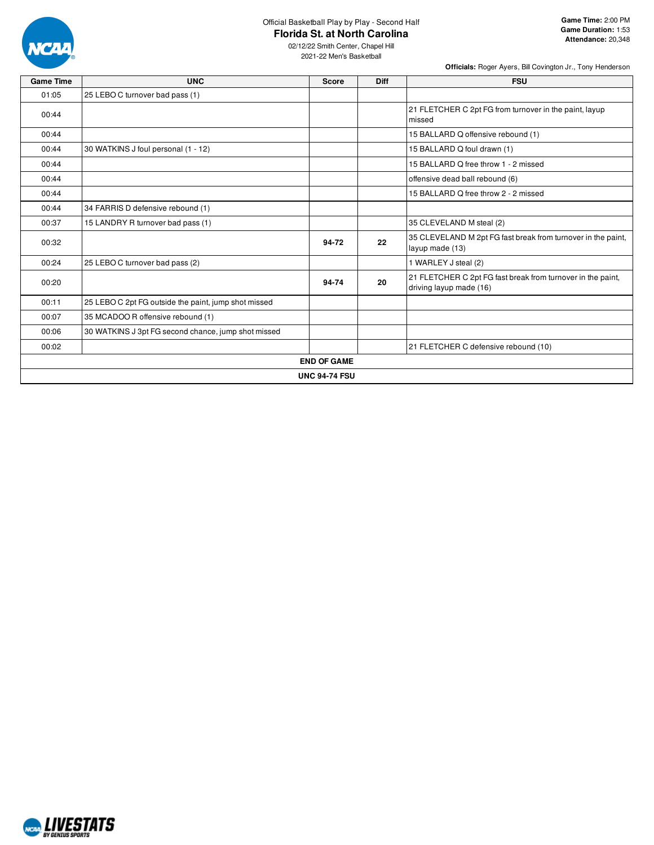

# Official Basketball Play by Play - Second Half

**Florida St. at North Carolina**

| <b>Game Time</b> | <b>UNC</b>                                           | <b>Score</b> | <b>Diff</b> | <b>FSU</b>                                                                             |  |  |  |  |  |
|------------------|------------------------------------------------------|--------------|-------------|----------------------------------------------------------------------------------------|--|--|--|--|--|
| 01:05            | 25 LEBO C turnover bad pass (1)                      |              |             |                                                                                        |  |  |  |  |  |
| 00:44            |                                                      |              |             | 21 FLETCHER C 2pt FG from turnover in the paint, layup<br>missed                       |  |  |  |  |  |
| 00:44            |                                                      |              |             | 15 BALLARD Q offensive rebound (1)                                                     |  |  |  |  |  |
| 00:44            | 30 WATKINS J foul personal (1 - 12)                  |              |             | 15 BALLARD Q foul drawn (1)                                                            |  |  |  |  |  |
| 00:44            |                                                      |              |             | 15 BALLARD Q free throw 1 - 2 missed                                                   |  |  |  |  |  |
| 00:44            |                                                      |              |             | offensive dead ball rebound (6)                                                        |  |  |  |  |  |
| 00:44            |                                                      |              |             | 15 BALLARD Q free throw 2 - 2 missed                                                   |  |  |  |  |  |
| 00:44            | 34 FARRIS D defensive rebound (1)                    |              |             |                                                                                        |  |  |  |  |  |
| 00:37            | 15 LANDRY R turnover bad pass (1)                    |              |             | 35 CLEVELAND M steal (2)                                                               |  |  |  |  |  |
| 00:32            |                                                      | 94-72        | 22          | 35 CLEVELAND M 2pt FG fast break from turnover in the paint,<br>layup made (13)        |  |  |  |  |  |
| 00:24            | 25 LEBO C turnover bad pass (2)                      |              |             | 1 WARLEY J steal (2)                                                                   |  |  |  |  |  |
| 00:20            |                                                      | 94-74        | 20          | 21 FLETCHER C 2pt FG fast break from turnover in the paint,<br>driving layup made (16) |  |  |  |  |  |
| 00:11            | 25 LEBO C 2pt FG outside the paint, jump shot missed |              |             |                                                                                        |  |  |  |  |  |
| 00:07            | 35 MCADOO R offensive rebound (1)                    |              |             |                                                                                        |  |  |  |  |  |
| 00:06            | 30 WATKINS J 3pt FG second chance, jump shot missed  |              |             |                                                                                        |  |  |  |  |  |
| 00:02            |                                                      |              |             | 21 FLETCHER C defensive rebound (10)                                                   |  |  |  |  |  |
|                  | <b>END OF GAME</b>                                   |              |             |                                                                                        |  |  |  |  |  |
|                  | <b>UNC 94-74 FSU</b>                                 |              |             |                                                                                        |  |  |  |  |  |

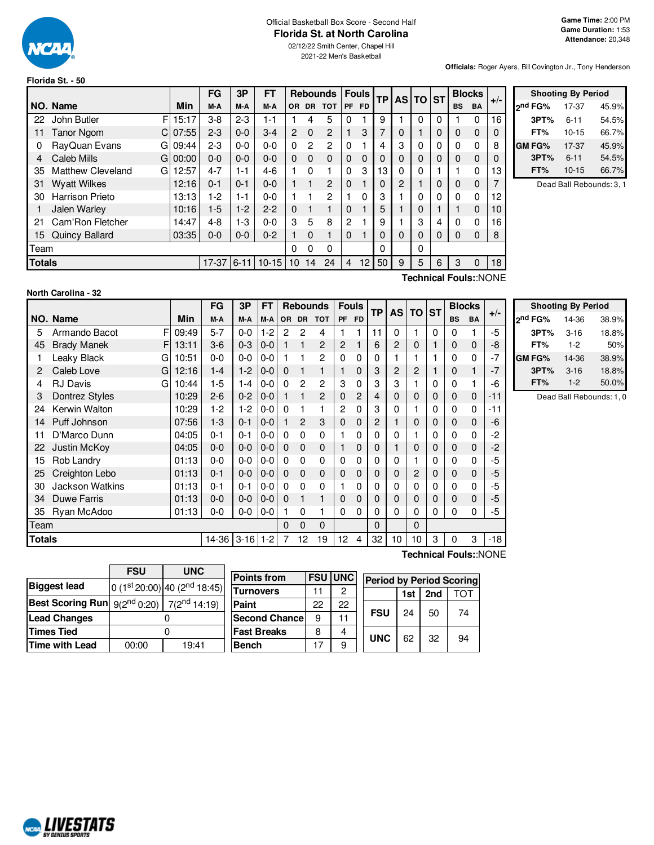

### Official Basketball Box Score - Second Half **Florida St. at North Carolina**

02/12/22 Smith Center, Chapel Hill 2021-22 Men's Basketball

**Officials:** Roger Ayers, Bill Covington Jr., Tony Henderson

| Florida St. - 50 |  |  |  |
|------------------|--|--|--|
|------------------|--|--|--|

|               |                                |            | <b>FG</b> | 3P      | FT               |                 |               | Rebounds   Fouls |          |                 |                 |    | TP AS TO ST |             |           | <b>Blocks</b> |    | $+/-$         |                        | <b>Shooting By Period</b> |  |
|---------------|--------------------------------|------------|-----------|---------|------------------|-----------------|---------------|------------------|----------|-----------------|-----------------|----|-------------|-------------|-----------|---------------|----|---------------|------------------------|---------------------------|--|
|               | INO. Name                      | Min        | M-A       | M-A     | M-A              |                 |               | OR DR TOT        |          | <b>PF FD</b>    |                 |    |             |             | <b>BS</b> | <b>BA</b>     |    | ond FG%       | 17-37                  | 45.9%                     |  |
| 22            | FI<br>John Butler              | 15:17      | $3-8$     | $2 - 3$ | 1-1              |                 |               | 5                |          |                 | 9               |    | $\Omega$    | 0           |           | $\Omega$      | 16 | 3PT%          | $6 - 11$               | 54.5%                     |  |
| 11            | <b>Tanor Ngom</b>              | $C$ 07:55  | $2 - 3$   | $0-0$   | $3-4$            | $\overline{2}$  | $\Omega$      | $\overline{c}$   |          | 3               |                 | 0  |             | 0           | $\Omega$  | 0             |    | FT%           | $10 - 15$              | 66.7%                     |  |
| 0             | RayQuan Evans                  | G109:44    | $2 - 3$   | $0-0$   | $0 - 0$          | 0               | $\mathcal{P}$ | 2                | 0        |                 | 4               | 3  | $\Omega$    | 0           | 0         | 0             | 8  | <b>GM FG%</b> | 17-37                  | 45.9%                     |  |
| 4             | Caleb Mills                    | $GI$ 00:00 | $0 - 0$   | $0 - 0$ | $0-0$            | $\Omega$        | $\Omega$      | $\Omega$         | 0        | $\Omega$        | $\Omega$        | 0  | 0           | $\mathbf 0$ | $\Omega$  | 0             |    | 3PT%          | $6 - 11$               | 54.5%                     |  |
| 35            | <b>Matthew Cleveland</b><br>G. | 12:57      | $4 - 7$   | $1 - 1$ | $4-6$            |                 | $\Omega$      |                  |          | 3               | 13 <sup>1</sup> | n. | 0           |             |           | 0             | 13 | FT%           | $10 - 15$              | 66.7%                     |  |
| 31.           | <b>Wyatt Wilkes</b>            | 12:16      | $0 - 1$   | $0 - 1$ | $0 - 0$          |                 |               | 2                | 0        |                 | 0               | 2  |             | 0           | 0         | 0             |    |               | Dead Ball Rebounds: 3. |                           |  |
| 30            | <b>Harrison Prieto</b>         | 13:13      | $1-2$     | $1 - 1$ | $0-0$            |                 |               | 2                |          | $\Omega$        | З               |    | 0           | 0           | 0         | 0             | 12 |               |                        |                           |  |
|               | Jalen Warley                   | 10:16      | $1-5$     | $1-2$   | $2 - 2$          | 0               |               |                  | 0        |                 | 5               |    | 0           |             |           | $\Omega$      | 10 |               |                        |                           |  |
| 21            | Cam'Ron Fletcher               | 14:47      | $4 - 8$   | 1-3     | $0-0$            | 3               | 5             | 8                | 2        |                 | 9               |    | 3           | 4           | 0         | 0             | 16 |               |                        |                           |  |
|               | 15 Quincy Ballard              | 03:35      | $0 - 0$   | $0 - 0$ | $0 - 2$          |                 | $\Omega$      |                  | $\Omega$ |                 | $\Omega$        | 0  | $\Omega$    | $\Omega$    | $\Omega$  | $\Omega$      | 8  |               |                        |                           |  |
| Team          |                                |            |           |         |                  | 0               | $\Omega$      | $\Omega$         |          |                 | $\Omega$        |    | $\Omega$    |             |           |               |    |               |                        |                           |  |
| <b>Totals</b> |                                |            |           |         | 17-37 6-11 10-15 | 10 <sup>°</sup> | 14            | 24               | 4        | 12 <sub>1</sub> | 50 <sub>1</sub> | 9  | 5           | 6           | 3         | $\Omega$      | 18 |               |                        |                           |  |
|               |                                |            |           |         |                  |                 |               |                  |          |                 |                 |    |             |             |           |               |    |               |                        |                           |  |

|                | Dead Ball Rebounds: 3, 1 |
|----------------|--------------------------|
| $\overline{2}$ |                          |

### **North Carolina - 32**

**Technical Fouls:**:NONE

**Technical Fouls:**:NONE

|               |                          | FG<br>3P<br>FT<br><b>Rebounds</b> |         | <b>Fouls</b> |         | <b>TP</b> | <b>AS</b>      | <b>TO</b>      | <b>ST</b>      |       | <b>Blocks</b> | $+/-$    |          |             |           |             |       |                 |
|---------------|--------------------------|-----------------------------------|---------|--------------|---------|-----------|----------------|----------------|----------------|-------|---------------|----------|----------|-------------|-----------|-------------|-------|-----------------|
|               | NO. Name                 | Min                               | M-A     | M-A          | M-A     |           |                | OR DR TOT      |                | PF FD |               |          |          |             | <b>BS</b> | <b>BA</b>   |       | 2 <sub>nd</sub> |
| 5             | F<br>Armando Bacot       | 09:49                             | $5 - 7$ | $0-0$        | $1-2$   | 2         | 2              | 4              |                |       | 11            | 0        | 1        | 0           | 0         | 1           | -5    |                 |
| 45            | <b>Brady Manek</b><br>FI | 13:11                             | $3-6$   | $0 - 3$      | $0-0$   | 1         |                | $\overline{2}$ | $\overline{2}$ |       | 6             | 2        | 0        | 1           | 0         | 0           | -8    |                 |
|               | Leaky Black<br>G         | 10:51                             | $0 - 0$ | $0-0$        | $0-0$   |           |                | 2              | $\mathbf{0}$   | 0     | 0             |          |          |             | 0         | 0           | $-7$  | GM I            |
| 2             | Caleb Love<br>G          | 12:16                             | $1 - 4$ | $1-2$        | $0-0$   | $\Omega$  |                | 1              |                | 0     | 3             | 2        | 2        | 1           | 0         | 1           | $-7$  |                 |
| 4             | <b>RJ Davis</b><br>G     | 10:44                             | $1-5$   | 1-4          | $0-0$   | $\Omega$  | $\overline{c}$ | $\overline{2}$ | 3              | 0     | 3             | 3        |          | 0           | 0         | 1           | -6    |                 |
| 3             | Dontrez Styles           | 10:29                             | $2 - 6$ | $0 - 2$      | $0-0$   | 1         |                | 2              | $\Omega$       | 2     | 4             | 0        | $\Omega$ | 0           | 0         | 0           | $-11$ |                 |
| 24            | Kerwin Walton            | 10:29                             | $1 - 2$ | $1-2$        | $0-0$   | $\Omega$  |                |                | $\overline{2}$ | 0     | 3             | 0        |          | 0           | 0         | 0           | -11   |                 |
| 14            | Puff Johnson             | 07:56                             | $1 - 3$ | $0 - 1$      | $0-0$   | 1         | $\overline{c}$ | 3              | $\mathbf{0}$   | 0     | 2             |          | 0        | 0           | 0         | 0           | -6    |                 |
| 11            | D'Marco Dunn             | 04:05                             | $0 - 1$ | $0 - 1$      | $0-0$   | $\Omega$  | $\Omega$       | 0              |                | 0     | 0             | 0        |          | 0           | 0         | 0           | -2    |                 |
| 22            | <b>Justin McKov</b>      | 04:05                             | $0 - 0$ | $0-0$        | $0-0$   | $\Omega$  | $\mathbf 0$    | 0              |                | 0     | 0             |          | 0        | 0           | 0         | 0           | $-2$  |                 |
| 15            | Rob Landry               | 01:13                             | $0 - 0$ | $0-0$        | $0-0$   | $\Omega$  | $\Omega$       | 0              | $\Omega$       | 0     | 0             | $\Omega$ |          | $\Omega$    | 0         | 0           | -5    |                 |
| 25            | Creighton Lebo           | 01:13                             | $0 - 1$ | $0-0$        | $0-0$   | $\Omega$  | $\mathbf 0$    | 0              | $\Omega$       | 0     | 0             | 0        | 2        | 0           | 0         | 0           | -5    |                 |
| 30            | <b>Jackson Watkins</b>   | 01:13                             | $0 - 1$ | $0 - 1$      | $0-0$   | $\Omega$  | 0              | $\mathbf 0$    |                | 0     | 0             | 0        | 0        | 0           | 0         | 0           | -5    |                 |
| 34            | Duwe Farris              | 01:13                             | $0 - 0$ | $0-0$        | $0-0$   | $\Omega$  |                | 1              | $\Omega$       | 0     | 0             | 0        | $\Omega$ | $\mathbf 0$ | 0         | $\mathbf 0$ | -5    |                 |
| 35            | Ryan McAdoo              | 01:13                             | $0 - 0$ | $0-0$        | $0-0$   |           | $\Omega$       |                | $\Omega$       | 0     | 0             | 0        | 0        | 0           | 0         | 0           | -5    |                 |
| Team          |                          |                                   |         |              |         | 0         | $\Omega$       | $\mathbf{0}$   |                |       | $\Omega$      |          | $\Omega$ |             |           |             |       |                 |
| <b>Totals</b> |                          |                                   | $14-36$ | $3 - 16$     | $1 - 2$ | 7         | 12             | 19             | 12             | 4     | 32            | 10       | 10       | 3           | 0         | 3           | $-18$ |                 |

| <b>Shooting By Period</b> |          |       |  |  |  |  |  |  |  |  |  |  |
|---------------------------|----------|-------|--|--|--|--|--|--|--|--|--|--|
| 2 <sup>nd</sup> FG%       | 14-36    | 38.9% |  |  |  |  |  |  |  |  |  |  |
| 3PT%                      | $3 - 16$ | 18.8% |  |  |  |  |  |  |  |  |  |  |
| FT%                       | $1-2$    | 50%   |  |  |  |  |  |  |  |  |  |  |
| GM FG%                    | 14-36    | 38.9% |  |  |  |  |  |  |  |  |  |  |
| 3PT%                      | $3 - 16$ | 18.8% |  |  |  |  |  |  |  |  |  |  |
| FT%                       | $1 - 2$  | 50.0% |  |  |  |  |  |  |  |  |  |  |

Dead Ball Rebounds: 1, 0

|                                                              | <b>FSU</b> | <b>UNC</b>                               |  |  |  |  |
|--------------------------------------------------------------|------------|------------------------------------------|--|--|--|--|
| <b>Biggest lead</b>                                          |            | 0 (1st 20:00) 40 (2 <sup>nd</sup> 18:45) |  |  |  |  |
| <b>Best Scoring Run</b> $9(2^{nd} 0:20)$ 7( $2^{nd} 14:19$ ) |            |                                          |  |  |  |  |
| <b>Lead Changes</b>                                          |            |                                          |  |  |  |  |
| <b>Times Tied</b>                                            |            |                                          |  |  |  |  |
| <b>Time with Lead</b>                                        | 00:00      | 19:41                                    |  |  |  |  |

NCAL LIVESTATS

| <b>Points from</b>    |    | <b>FSU UNC</b> | <b>Period by Period Scoring</b> |    |    |    |  |  |  |  |  |
|-----------------------|----|----------------|---------------------------------|----|----|----|--|--|--|--|--|
| Turnovers             | 11 |                | 2nd<br>ΤΩΤ<br>1st               |    |    |    |  |  |  |  |  |
| Paint                 | 22 | 22             |                                 |    |    |    |  |  |  |  |  |
| <b>Second Chancel</b> | 9  | 11             | <b>FSU</b>                      | 24 | 50 | 74 |  |  |  |  |  |
| <b>Fast Breaks</b>    | 8  |                | <b>UNC</b>                      | 62 | 32 |    |  |  |  |  |  |
| Bench                 | 17 |                |                                 |    |    | 94 |  |  |  |  |  |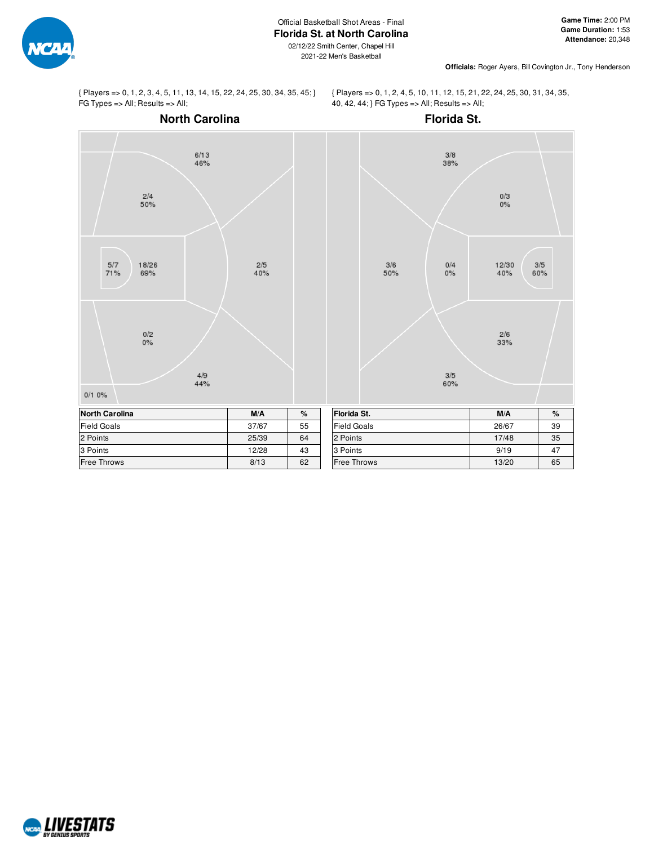

2021-22 Men's Basketball

**Officials:** Roger Ayers, Bill Covington Jr., Tony Henderson

{ Players => 0, 1, 2, 3, 4, 5, 11, 13, 14, 15, 22, 24, 25, 30, 34, 35, 45; } FG Types => All; Results => All;

{ Players => 0, 1, 2, 4, 5, 10, 11, 12, 15, 21, 22, 24, 25, 30, 31, 34, 35, 40, 42, 44; } FG Types => All; Results => All;



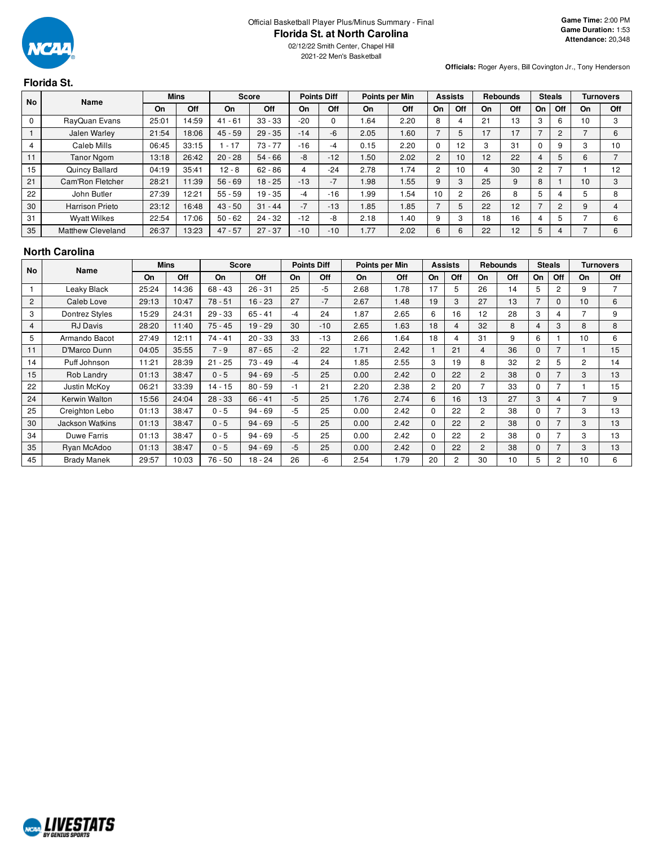

02/12/22 Smith Center, Chapel Hill 2021-22 Men's Basketball

**Officials:** Roger Ayers, Bill Covington Jr., Tony Henderson

# **Florida St.**

| <b>No</b> | Name                     |           | <b>Mins</b> |           | <b>Score</b> |       | <b>Points Diff</b> |      | Points per Min |                | <b>Assists</b>  |    | <b>Rebounds</b> |    | <b>Steals</b> |    | <b>Turnovers</b> |
|-----------|--------------------------|-----------|-------------|-----------|--------------|-------|--------------------|------|----------------|----------------|-----------------|----|-----------------|----|---------------|----|------------------|
|           |                          | <b>On</b> | Off         | On        | Off          | On    | Off                | On   | Off            | On             | Off             | On | Off             | On | Off           | On | Off              |
| 0         | RayQuan Evans            | 25:01     | 14:59       | $41 - 61$ | $33 - 33$    | $-20$ |                    | 1.64 | 2.20           | 8              |                 | 21 | 13              | 3  | 6             | 10 | 3                |
|           | Jalen Warley             | 21:54     | 18:06       | $45 - 59$ | $29 - 35$    | $-14$ | -6                 | 2.05 | 1.60           |                | 5               | 17 | 17              |    | 2             |    | 6                |
| 4         | Caleb Mills              | 06:45     | 33:15       | $-17$     | $73 - 77$    | $-16$ | -4                 | 0.15 | 2.20           |                | 12              |    | 31              |    | 9             |    | 10               |
| 4.4       | <b>Tanor Ngom</b>        | 13:18     | 26:42       | $20 - 28$ | $54 - 66$    | -8    | $-12$              | 1.50 | 2.02           | $\overline{2}$ | 10 <sup>1</sup> | 12 | 22              | 4  |               | 6  |                  |
| 15        | Quincy Ballard           | 04:19     | 35:41       | $12 - 8$  | $62 - 86$    | 4     | $-24$              | 2.78 | 1.74           | 2              | $10^{\circ}$    |    | 30              | 2  |               |    | 12               |
| 21        | Cam'Ron Fletcher         | 28:21     | 11:39       | $56 - 69$ | $18 - 25$    | $-13$ | $-7$               | 1.98 | .55            | 9              | 3               | 25 | 9               | 8  |               | 10 | 3                |
| 22        | John Butler              | 27:39     | 12:21       | $55 - 59$ | $19 - 35$    | -4    | $-16$              | l.99 | .54            | 10             | 2               | 26 | 8               | 5  |               |    | 8                |
| 30        | <b>Harrison Prieto</b>   | 23:12     | 16:48       | $43 - 50$ | $31 - 44$    | $-7$  | $-13$              | 1.85 | .85            |                | 5               | 22 | 12              |    | $\mathcal{P}$ | 9  | 4                |
| 31        | <b>Wyatt Wilkes</b>      | 22:54     | 17:06       | $50 - 62$ | $24 - 32$    | $-12$ | -8                 | 2.18 | 1.40           | 9              | 3               | 18 | 16              | 4  |               |    | 6                |
| 35        | <b>Matthew Cleveland</b> | 26:37     | 13:23       | $47 - 57$ | $27 - 37$    | $-10$ | $-10$              | .77  | 2.02           | 6              | 6               | 22 | 12              | 5  |               |    | 6                |

### **North Carolina**

|    | No<br><b>Name</b>  |       | <b>Mins</b> |           | <b>Score</b> |      | <b>Points Diff</b> |      | Points per Min |                | <b>Assists</b> |                | <b>Rebounds</b> |                | Steals         |                | <b>Turnovers</b> |
|----|--------------------|-------|-------------|-----------|--------------|------|--------------------|------|----------------|----------------|----------------|----------------|-----------------|----------------|----------------|----------------|------------------|
|    |                    | On    | Off         | On        | Off          | On   | Off                | On   | Off            | On             | Off            | On             | Off             | On             | Off            | On             | Off              |
|    | Leaky Black        | 25:24 | 14:36       | $68 - 43$ | $26 - 31$    | 25   | -5                 | 2.68 | 1.78           | 17             | 5              | 26             | 14              | 5              | 2              | 9              |                  |
| 2  | Caleb Love         | 29:13 | 10:47       | $78 - 51$ | $16 - 23$    | 27   | $-7$               | 2.67 | 1.48           | 19             | 3              | 27             | 13              | 7              |                | 10             | 6                |
| 3  | Dontrez Styles     | 15:29 | 24:31       | $29 - 33$ | $65 - 41$    | $-4$ | 24                 | 1.87 | 2.65           | 6              | 16             | 12             | 28              | 3              | 4              | ⇁              | 9                |
| 4  | <b>RJ</b> Davis    | 28:20 | 11:40       | $75 - 45$ | $19 - 29$    | 30   | $-10$              | 2.65 | 1.63           | 18             | 4              | 32             | 8               | 4              | 3              | 8              | 8                |
| 5  | Armando Bacot      | 27:49 | 12:11       | $74 - 41$ | $20 - 33$    | 33   | $-13$              | 2.66 | 1.64           | 18             | 4              | 31             | 9               | 6              |                | 10             | 6                |
| 11 | D'Marco Dunn       | 04:05 | 35:55       | $7 - 9$   | $87 - 65$    | $-2$ | 22                 | 1.71 | 2.42           |                | 21             | 4              | 36              | $\Omega$       |                |                | 15               |
| 14 | Puff Johnson       | 11:21 | 28:39       | $21 - 25$ | $73 - 49$    | $-4$ | 24                 | 1.85 | 2.55           | 3              | 19             | 8              | 32              | $\overline{2}$ | 5              | $\overline{2}$ | 14               |
| 15 | Rob Landry         | 01:13 | 38:47       | $0 - 5$   | $94 - 69$    | $-5$ | 25                 | 0.00 | 2.42           | $\Omega$       | 22             | $\overline{2}$ | 38              | $\mathbf{0}$   |                | 3              | 13               |
| 22 | Justin McKoy       | 06:21 | 33:39       | $14 - 15$ | $80 - 59$    | -1   | 21                 | 2.20 | 2.38           | $\overline{2}$ | 20             | $\overline{7}$ | 33              | $\Omega$       |                |                | 15               |
| 24 | Kerwin Walton      | 15:56 | 24:04       | $28 - 33$ | $66 - 41$    | $-5$ | 25                 | 1.76 | 2.74           | 6              | 16             | 13             | 27              | 3              | 4              |                | 9                |
| 25 | Creighton Lebo     | 01:13 | 38:47       | $0 - 5$   | $94 - 69$    | -5   | 25                 | 0.00 | 2.42           | $\Omega$       | 22             | $\overline{c}$ | 38              | $\Omega$       |                | 3              | 13               |
| 30 | Jackson Watkins    | 01:13 | 38:47       | $0 - 5$   | $94 - 69$    | $-5$ | 25                 | 0.00 | 2.42           | $\Omega$       | 22             | $\overline{c}$ | 38              | $\Omega$       |                | 3              | 13               |
| 34 | Duwe Farris        | 01:13 | 38:47       | $0 - 5$   | $94 - 69$    | $-5$ | 25                 | 0.00 | 2.42           | $\Omega$       | 22             | $\overline{c}$ | 38              | $\Omega$       | 7              | 3              | 13               |
| 35 | Ryan McAdoo        | 01:13 | 38:47       | $0 - 5$   | $94 - 69$    | $-5$ | 25                 | 0.00 | 2.42           | $\mathbf{0}$   | 22             | $\overline{c}$ | 38              | $\mathbf{0}$   | 7              | 3              | 13               |
| 45 | <b>Brady Manek</b> | 29:57 | 10:03       | $76 - 50$ | $18 - 24$    | 26   | -6                 | 2.54 | 1.79           | 20             | 2              | 30             | 10              | 5              | $\overline{2}$ | 10             | 6                |

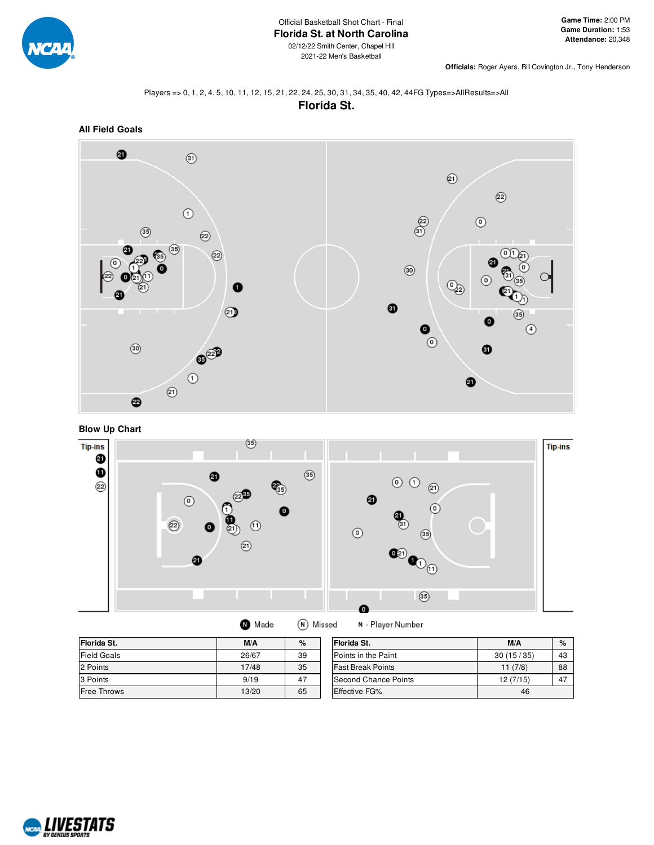

**Officials:** Roger Ayers, Bill Covington Jr., Tony Henderson

## Players => 0, 1, 2, 4, 5, 10, 11, 12, 15, 21, 22, 24, 25, 30, 31, 34, 35, 40, 42, 44FG Types=>AllResults=>All **Florida St.**





**Blow Up Chart**



| (N) Missed<br><b>O</b> Made |  |
|-----------------------------|--|
|                             |  |

N - Player Number

| Florida St.        | M/A   | %  | Florida St.                 | M/A       | %  |
|--------------------|-------|----|-----------------------------|-----------|----|
| <b>Field Goals</b> | 26/67 | 39 | Points in the Paint         | 30(15/35) | 43 |
| 2 Points           | 17/48 | 35 | <b>Fast Break Points</b>    | 11(7/8)   | 88 |
| 3 Points           | 9/19  | 47 | <b>Second Chance Points</b> | 12 (7/15) | 47 |
| <b>Free Throws</b> | 13/20 | 65 | <b>Effective FG%</b>        | 46        |    |

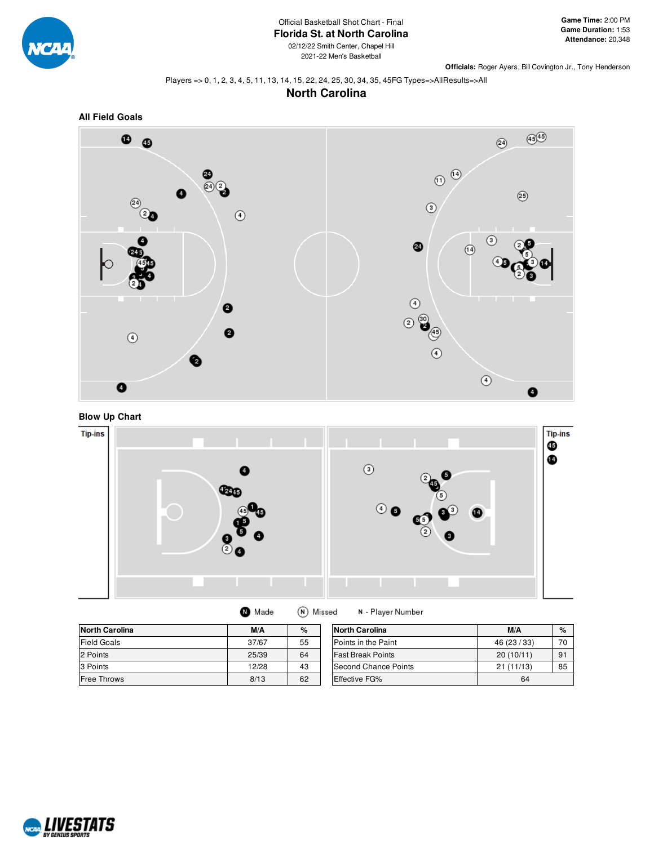

### Official Basketball Shot Chart - Final **Florida St. at North Carolina**

02/12/22 Smith Center, Chapel Hill 2021-22 Men's Basketball

**Officials:** Roger Ayers, Bill Covington Jr., Tony Henderson

### Players => 0, 1, 2, 3, 4, 5, 11, 13, 14, 15, 22, 24, 25, 30, 34, 35, 45FG Types=>AllResults=>All

# **North Carolina**





## **Blow Up Chart**



| Made | (N) Missed |
|------|------------|
|------|------------|

N - Player Number

| North Carolina     | M/A   | $\%$ | <b>North Carolina</b>    | M/A          | $\%$ |
|--------------------|-------|------|--------------------------|--------------|------|
| <b>Field Goals</b> | 37/67 | 55   | Points in the Paint      | 46 (23 / 33) | 70   |
| 2 Points           | 25/39 | 64   | <b>Fast Break Points</b> | 20(10/11)    | 91   |
| 3 Points           | 12/28 | 43   | Second Chance Points     | 21(11/13)    | 85   |
| <b>Free Throws</b> | 8/13  | 62   | Effective FG%            | 64           |      |

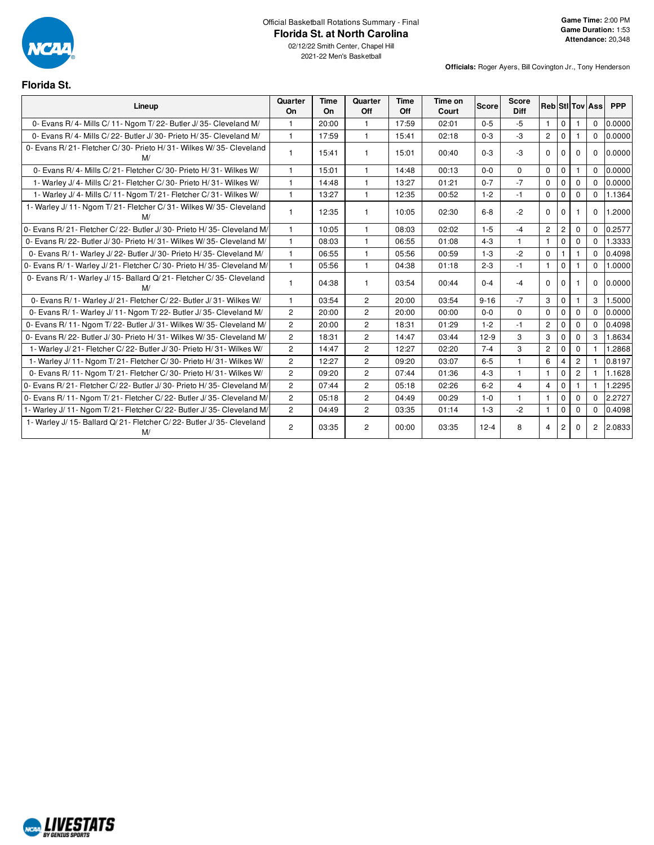

### Official Basketball Rotations Summary - Final **Florida St. at North Carolina**

02/12/22 Smith Center, Chapel Hill 2021-22 Men's Basketball

**Officials:** Roger Ayers, Bill Covington Jr., Tony Henderson

# **Florida St.**

| Lineup                                                                        | Quarter<br>On  | <b>Time</b><br><b>On</b> | Quarter<br>Off        | Time<br>Off | Time on<br>Court | <b>Score</b> | <b>Score</b><br><b>Diff</b> |                |                |                | <b>RebiStilToviAss</b> | <b>PPP</b> |
|-------------------------------------------------------------------------------|----------------|--------------------------|-----------------------|-------------|------------------|--------------|-----------------------------|----------------|----------------|----------------|------------------------|------------|
| 0- Evans R/4- Mills C/11- Ngom T/22- Butler J/35- Cleveland M/                | 1.             | 20:00                    | $\mathbf{1}$          | 17:59       | 02:01            | $0 - 5$      | $-5$                        | $\mathbf{1}$   | $\mathbf 0$    |                | $\Omega$               | 0.0000     |
| 0- Evans R/ 4- Mills C/ 22- Butler J/ 30- Prieto H/ 35- Cleveland M/          | $\mathbf{1}$   | 17:59                    | $\mathbf{1}$          | 15:41       | 02:18            | $0 - 3$      | $-3$                        | $\overline{2}$ | $\mathbf{0}$   |                | $\mathbf{0}$           | 0.0000     |
| 0- Evans R/21- Fletcher C/30- Prieto H/31- Wilkes W/35- Cleveland<br>M/       |                | 15:41                    | 1                     | 15:01       | 00:40            | $0 - 3$      | $-3$                        | $\Omega$       | $\Omega$       | $\Omega$       | $\Omega$               | 0.0000     |
| 0- Evans R/4- Mills C/21- Fletcher C/30- Prieto H/31- Wilkes W/               |                | 15:01                    | 1                     | 14:48       | 00:13            | $0 - 0$      | $\Omega$                    | $\Omega$       | $\mathbf 0$    |                | $\Omega$               | 0.0000     |
| 1- Warley J/ 4- Mills C/ 21- Fletcher C/ 30- Prieto H/ 31- Wilkes W/          | 1              | 14:48                    | $\mathbf{1}$          | 13:27       | 01:21            | $0 - 7$      | $-7$                        | $\Omega$       | $\Omega$       | $\Omega$       | $\Omega$               | 0.0000     |
| 1- Warley J/ 4- Mills C/ 11- Ngom T/ 21- Fletcher C/ 31- Wilkes W/            | 1.             | 13:27                    | $\mathbf{1}$          | 12:35       | 00:52            | $1 - 2$      | $-1$                        | $\mathbf 0$    | $\mathbf 0$    | $\Omega$       | $\Omega$               | 1.1364     |
| 1- Warley J/ 11- Ngom T/ 21- Fletcher C/ 31- Wilkes W/ 35- Cleveland<br>M/    |                | 12:35                    | 1                     | 10:05       | 02:30            | $6-8$        | $-2$                        | $\Omega$       | $\Omega$       |                | $\Omega$               | 1.2000     |
| 0- Evans R/21- Fletcher C/22- Butler J/30- Prieto H/35- Cleveland M/          | 1.             | 10:05                    | 1                     | 08:03       | 02:02            | $1 - 5$      | $-4$                        | $\overline{2}$ | $\overline{2}$ | $\Omega$       | $\Omega$               | 0.2577     |
| 0- Evans R/22- Butler J/30- Prieto H/31- Wilkes W/35- Cleveland M/            | 1.             | 08:03                    | 1                     | 06:55       | 01:08            | $4 - 3$      | $\mathbf{1}$                | $\mathbf{1}$   | $\mathbf 0$    | $\Omega$       | $\Omega$               | 1.3333     |
| 0- Evans R/ 1- Warley J/ 22- Butler J/ 30- Prieto H/ 35- Cleveland M/         | $\mathbf{1}$   | 06:55                    | 1                     | 05:56       | 00:59            | $1 - 3$      | $-2$                        | $\mathbf 0$    |                |                | $\Omega$               | 0.4098     |
| 0- Evans R/ 1- Warley J/ 21- Fletcher C/ 30- Prieto H/ 35- Cleveland M/       | 1.             | 05:56                    | 1                     | 04:38       | 01:18            | $2 - 3$      | $-1$                        | $\mathbf{1}$   | $\Omega$       |                | $\Omega$               | 1.0000     |
| 0- Evans R/ 1- Warley J/ 15- Ballard Q/ 21- Fletcher C/ 35- Cleveland<br>M/   |                | 04:38                    | 1                     | 03:54       | 00:44            | $0 - 4$      | $-4$                        | $\Omega$       | $\Omega$       |                | $\Omega$               | 0.0000     |
| 0- Evans R/ 1- Warley J/ 21- Fletcher C/ 22- Butler J/ 31- Wilkes W/          | 1.             | 03:54                    | $\overline{2}$        | 20:00       | 03:54            | $9 - 16$     | $-7$                        | 3              | $\Omega$       |                | 3                      | 1.5000     |
| 0- Evans R/ 1- Warley J/ 11- Ngom T/ 22- Butler J/ 35- Cleveland M/           | $\overline{c}$ | 20:00                    | $\overline{c}$        | 20:00       | 00:00            | $0 - 0$      | $\mathbf 0$                 | $\mathbf 0$    | $\mathbf 0$    | 0              | $\Omega$               | 0.0000     |
| 0- Evans R/ 11- Ngom T/ 22- Butler J/ 31- Wilkes W/ 35- Cleveland M/          | $\overline{2}$ | 20:00                    | $\mathbf{2}^{\prime}$ | 18:31       | 01:29            | $1 - 2$      | $-1$                        | $\overline{c}$ | $\Omega$       | $\Omega$       | $\Omega$               | 0.4098     |
| 0- Evans R/22- Butler J/30- Prieto H/31- Wilkes W/35- Cleveland M/            | $\overline{2}$ | 18:31                    | $\overline{2}$        | 14:47       | 03:44            | $12-9$       | 3                           | 3              | $\Omega$       | $\Omega$       | 3                      | 1.8634     |
| 1- Warley J/21- Fletcher C/22- Butler J/30- Prieto H/31- Wilkes W/            | $\overline{c}$ | 14:47                    | $\overline{c}$        | 12:27       | 02:20            | $7 - 4$      | 3                           | $\overline{2}$ | $\Omega$       | 0              |                        | 1.2868     |
| 1- Warley J/ 11- Ngom T/ 21- Fletcher C/ 30- Prieto H/ 31- Wilkes W/          | $\overline{2}$ | 12:27                    | $\overline{c}$        | 09:20       | 03:07            | $6-5$        | $\mathbf{1}$                | 6              | $\overline{4}$ | $\overline{2}$ |                        | 0.8197     |
| 0- Evans R/ 11- Ngom T/ 21- Fletcher C/ 30- Prieto H/ 31- Wilkes W/           | $\overline{2}$ | 09:20                    | $\overline{2}$        | 07:44       | 01:36            | $4 - 3$      | $\mathbf{1}$                | $\mathbf{1}$   | $\Omega$       | $\overline{2}$ |                        | 1.1628     |
| 0- Evans R/21- Fletcher C/22- Butler J/30- Prieto H/35- Cleveland M/          | $\overline{2}$ | 07:44                    | $\overline{2}$        | 05:18       | 02:26            | $6 - 2$      | $\overline{4}$              | $\overline{4}$ | $\Omega$       |                |                        | 1.2295     |
| 0- Evans R/ 11- Ngom T/ 21- Fletcher C/ 22- Butler J/ 35- Cleveland M/        | $\overline{2}$ | 05:18                    | $\overline{2}$        | 04:49       | 00:29            | $1 - 0$      | $\mathbf{1}$                | $\mathbf{1}$   | $\mathbf 0$    | $\Omega$       | $\Omega$               | 2.2727     |
| 1- Warley J/ 11- Ngom T/ 21- Fletcher C/ 22- Butler J/ 35- Cleveland M/       | $\overline{2}$ | 04:49                    | $\overline{2}$        | 03:35       | 01:14            | $1 - 3$      | $-2$                        | $\mathbf{1}$   | $\Omega$       | $\Omega$       | $\Omega$               | 0.4098     |
| 1- Warley J/ 15- Ballard Q/ 21- Fletcher C/ 22- Butler J/ 35- Cleveland<br>M/ | $\overline{c}$ | 03:35                    | $\overline{c}$        | 00:00       | 03:35            | $12 - 4$     | 8                           | $\overline{4}$ | $\overline{2}$ | 0              | $\overline{2}$         | 2.0833     |

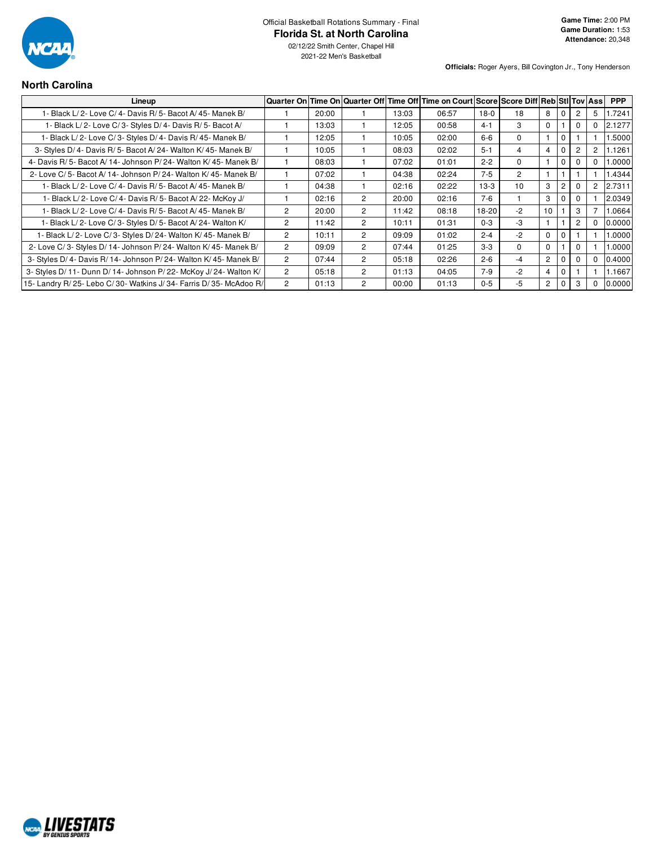

2021-22 Men's Basketball

**Officials:** Roger Ayers, Bill Covington Jr., Tony Henderson

# **North Carolina**

| Lineup                                                             |                |       |                      |       | Quarter On Time On Quarter Off Time Off Time on Court Score Score Diff Reb Sti Tov Ass |         |                |                |             |          |                      | <b>PPP</b> |
|--------------------------------------------------------------------|----------------|-------|----------------------|-------|----------------------------------------------------------------------------------------|---------|----------------|----------------|-------------|----------|----------------------|------------|
| 1- Black L/2- Love C/4- Davis R/5- Bacot A/45- Manek B/            |                | 20:00 |                      | 13:03 | 06:57                                                                                  | $18-0$  | 18             | 8              |             |          | 5                    | 1.7241     |
| 1- Black L/2- Love C/3- Styles D/4- Davis R/5- Bacot A/            |                | 13:03 |                      | 12:05 | 00:58                                                                                  | $4 - 1$ | 3              | $\Omega$       |             |          | $\Omega$             | 2.1277     |
| 1- Black L/2- Love C/3- Styles D/4- Davis R/45- Manek B/           |                | 12:05 |                      | 10:05 | 02:00                                                                                  | $6 - 6$ | $\Omega$       |                | $\mathbf 0$ |          |                      | 1.5000     |
| 3- Styles D/4- Davis R/5- Bacot A/24- Walton K/45- Manek B/        |                | 10:05 |                      | 08:03 | 02:02                                                                                  | $5-1$   | 4              | 4              |             |          | $\mathbf{2}^{\circ}$ | 1.1261     |
| 4- Davis R/5- Bacot A/14- Johnson P/24- Walton K/45- Manek B/      |                | 08:03 |                      | 07:02 | 01:01                                                                                  | $2 - 2$ | $\Omega$       |                | $\Omega$    |          | $\Omega$             | 1.0000     |
| 2- Love C/5- Bacot A/14- Johnson P/24- Walton K/45- Manek B/       |                | 07:02 |                      | 04:38 | 02:24                                                                                  | $7 - 5$ | $\overline{2}$ |                |             |          |                      | 1.4344     |
| 1- Black L/2- Love C/4- Davis R/5- Bacot A/45- Manek B/            |                | 04:38 |                      | 02:16 | 02:22                                                                                  | $13-3$  | 10             | 3              |             |          | $\mathbf{2}^{\circ}$ | 2.7311     |
| 1- Black L/2- Love C/4- Davis R/5- Bacot A/22- McKoy J/            |                | 02:16 | $\mathcal{P}$        | 20:00 | 02:16                                                                                  | $7-6$   |                | 3              | $\Omega$    | $\Omega$ |                      | 2.0349     |
| 1- Black L/2- Love C/4- Davis R/5- Bacot A/45- Manek B/            | $\overline{2}$ | 20:00 | $\mathbf{2}^{\circ}$ | 11:42 | 08:18                                                                                  | 18-20   | $-2$           | 10             |             | 3        |                      | 1.0664     |
| 1- Black L/2- Love C/3- Styles D/5- Bacot A/24- Walton K/          | $\overline{c}$ | 11:42 | $\mathbf{2}^{\circ}$ | 10:11 | 01:31                                                                                  | $0 - 3$ | -3             |                |             |          | $\Omega$             | 0.0000     |
| 1- Black L/2- Love C/3- Styles D/24- Walton K/45- Manek B/         | $\overline{2}$ | 10:11 | $\mathbf{2}^{\circ}$ | 09:09 | 01:02                                                                                  | $2 - 4$ | $-2$           | $\Omega$       | $\Omega$    |          |                      | 0000.      |
| 2- Love C/3- Styles D/14- Johnson P/24- Walton K/45- Manek B/      | $\overline{2}$ | 09:09 | $\mathbf{2}^{\circ}$ | 07:44 | 01:25                                                                                  | $3 - 3$ | $\Omega$       | $\Omega$       |             | 0        |                      | 0000.1     |
| 3- Styles D/4- Davis R/14- Johnson P/24- Walton K/45- Manek B/     | $\overline{c}$ | 07:44 | $\mathbf{2}^{\circ}$ | 05:18 | 02:26                                                                                  | $2 - 6$ | $-4$           | $\overline{2}$ | 0           |          | 0                    | 0.4000     |
| 3- Styles D/ 11- Dunn D/ 14- Johnson P/ 22- McKoy J/ 24- Walton K/ | $\overline{2}$ | 05:18 | $\mathbf{2}^{\circ}$ | 01:13 | 04:05                                                                                  | $7-9$   | $-2$           | $\overline{4}$ | 0           |          |                      | 1.1667     |
| 15- Landry R/25- Lebo C/30- Watkins J/34- Farris D/35- McAdoo R/   | $\overline{c}$ | 01:13 | $\mathbf{2}$         | 00:00 | 01:13                                                                                  | $0 - 5$ | -5             | $\overline{c}$ |             |          | 0                    | 0.0000     |

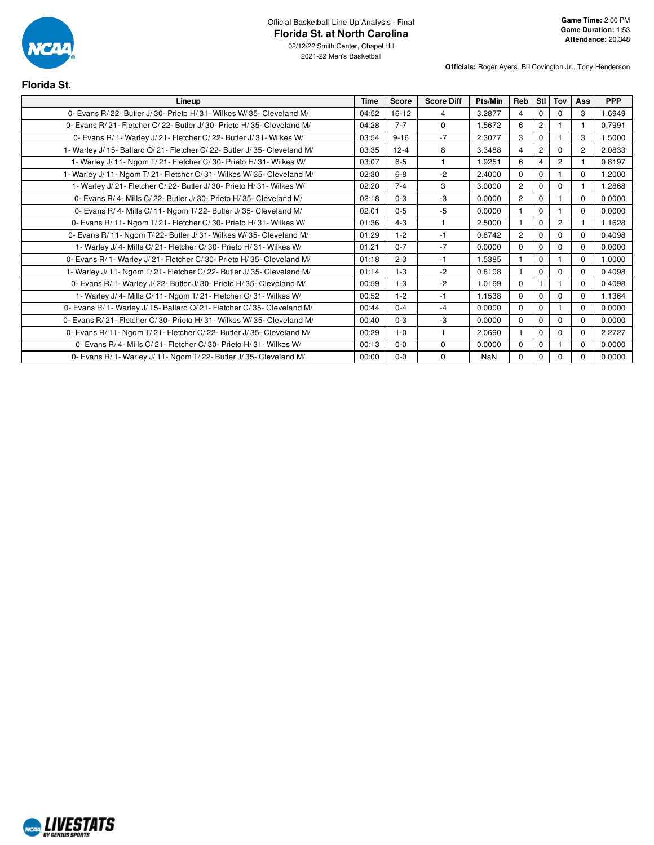

02/12/22 Smith Center, Chapel Hill 2021-22 Men's Basketball

| <b>Florida St.</b>                                                         |             |          |                   |         |                |                |                |                |            |
|----------------------------------------------------------------------------|-------------|----------|-------------------|---------|----------------|----------------|----------------|----------------|------------|
| Lineup                                                                     | <b>Time</b> | Score    | <b>Score Diff</b> | Pts/Min | Reb            | Stl            | Tov            | Ass            | <b>PPP</b> |
| 0- Evans R/22- Butler J/30- Prieto H/31- Wilkes W/35- Cleveland M/         | 04:52       | $16-12$  | 4                 | 3.2877  | 4              | $\Omega$       | $\Omega$       | 3              | 1.6949     |
| 0- Evans R/21- Fletcher C/22- Butler J/30- Prieto H/35- Cleveland M/       | 04:28       | $7 - 7$  | $\Omega$          | 1.5672  | 6              | $\overline{2}$ |                |                | 0.7991     |
| 0- Evans R/1- Warley J/21- Fletcher C/22- Butler J/31- Wilkes W/           | 03:54       | $9 - 16$ | $-7$              | 2.3077  | 3              | $\Omega$       |                | 3              | 1.5000     |
| 1- Warley J/ 15- Ballard Q/ 21- Fletcher C/ 22- Butler J/ 35- Cleveland M/ | 03:35       | $12 - 4$ | 8                 | 3.3488  | 4              | $\overline{2}$ | $\Omega$       | $\overline{2}$ | 2.0833     |
| 1- Warley J/ 11- Ngom T/ 21- Fletcher C/ 30- Prieto H/ 31- Wilkes W/       | 03:07       | $6-5$    | $\overline{1}$    | 1.9251  | 6              | 4              | $\overline{c}$ |                | 0.8197     |
| 1- Warley J/11- Ngom T/21- Fletcher C/31- Wilkes W/35- Cleveland M/        | 02:30       | $6-8$    | $-2$              | 2.4000  | $\Omega$       | $\Omega$       |                | $\Omega$       | 1.2000     |
| 1- Warley J/21- Fletcher C/22- Butler J/30- Prieto H/31- Wilkes W/         | 02:20       | $7 - 4$  | 3                 | 3.0000  | $\overline{2}$ | $\Omega$       | $\Omega$       |                | 1.2868     |
| 0- Evans R/4- Mills C/22- Butler J/30- Prieto H/35- Cleveland M/           | 02:18       | $0 - 3$  | -3                | 0.0000  | $\overline{2}$ | $\Omega$       |                | $\Omega$       | 0.0000     |
| 0- Evans R/ 4- Mills C/ 11- Ngom T/ 22- Butler J/ 35- Cleveland M/         | 02:01       | $0 - 5$  | $-5$              | 0.0000  |                | $\Omega$       |                | $\Omega$       | 0.0000     |
| 0- Evans R/ 11- Ngom T/ 21- Fletcher C/ 30- Prieto H/ 31- Wilkes W/        | 01:36       | $4 - 3$  | $\mathbf{1}$      | 2.5000  |                | $\Omega$       | $\overline{2}$ |                | 1.1628     |
| 0- Evans R/ 11- Ngom T/ 22- Butler J/ 31- Wilkes W/ 35- Cleveland M/       | 01:29       | $1 - 2$  | $-1$              | 0.6742  | $\overline{2}$ | $\Omega$       | $\Omega$       | $\Omega$       | 0.4098     |
| 1- Warley J/ 4- Mills C/ 21- Fletcher C/ 30- Prieto H/ 31- Wilkes W/       | 01:21       | $0 - 7$  | $-7$              | 0.0000  | $\Omega$       | $\Omega$       | $\Omega$       | $\Omega$       | 0.0000     |
| 0- Evans R/ 1- Warley J/ 21- Fletcher C/ 30- Prieto H/ 35- Cleveland M/    | 01:18       | $2 - 3$  | $-1$              | 1.5385  |                | $\Omega$       |                | $\Omega$       | 1.0000     |
| 1- Warley J/ 11- Ngom T/ 21- Fletcher C/ 22- Butler J/ 35- Cleveland M/    | 01:14       | $1 - 3$  | $-2$              | 0.8108  |                | $\Omega$       | $\Omega$       | $\Omega$       | 0.4098     |
| 0- Evans R/ 1- Warley J/ 22- Butler J/ 30- Prieto H/ 35- Cleveland M/      | 00:59       | $1 - 3$  | $-2$              | 1.0169  | $\Omega$       |                |                | $\Omega$       | 0.4098     |
| 1- Warley J/ 4- Mills C/ 11- Ngom T/ 21- Fletcher C/ 31- Wilkes W/         | 00:52       | $1 - 2$  | $-1$              | 1.1538  | $\Omega$       | $\Omega$       | $\Omega$       | $\Omega$       | 1.1364     |
| 0- Evans R/ 1- Warley J/ 15- Ballard Q/ 21- Fletcher C/ 35- Cleveland M/   | 00:44       | $0 - 4$  | $-4$              | 0.0000  | $\Omega$       | $\Omega$       |                | $\Omega$       | 0.0000     |
| 0- Evans R/ 21- Fletcher C/ 30- Prieto H/ 31- Wilkes W/ 35- Cleveland M/   | 00:40       | $0 - 3$  | -3                | 0.0000  | $\Omega$       | $\Omega$       | $\Omega$       | $\Omega$       | 0.0000     |
| 0- Evans R/ 11- Ngom T/ 21- Fletcher C/ 22- Butler J/ 35- Cleveland M/     | 00:29       | $1-0$    | $\mathbf{1}$      | 2.0690  |                | $\Omega$       | $\mathbf 0$    | $\Omega$       | 2.2727     |
| 0- Evans R/ 4- Mills C/ 21- Fletcher C/ 30- Prieto H/ 31- Wilkes W/        | 00:13       | $0 - 0$  | $\Omega$          | 0.0000  | $\Omega$       | $\Omega$       |                | $\Omega$       | 0.0000     |
| 0- Evans R/ 1- Warley J/ 11- Ngom T/ 22- Butler J/ 35- Cleveland M/        | 00:00       | $0-0$    | $\mathbf 0$       | NaN     | $\Omega$       | $\Omega$       | $\Omega$       | $\Omega$       | 0.0000     |